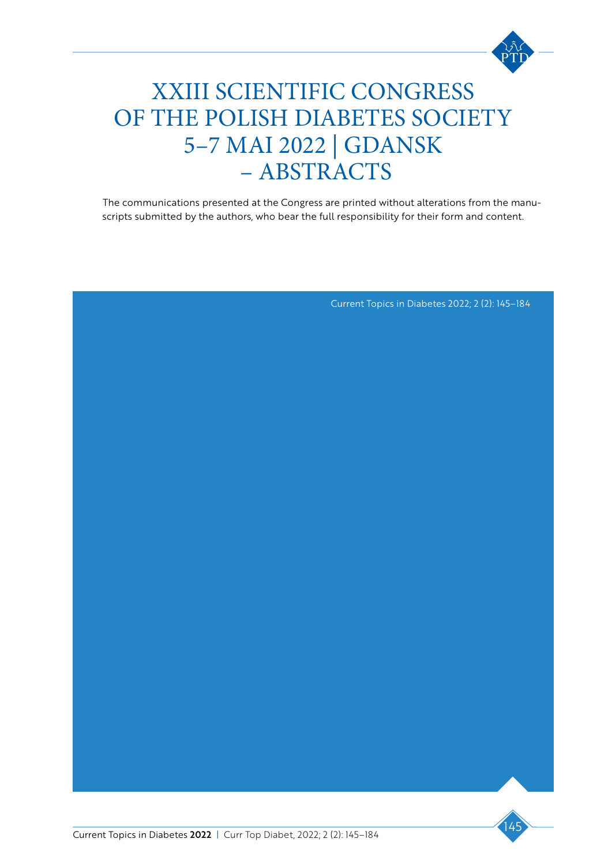

### ic contet XXIII SCIENTIFIC CONGRESS  $\Lambda$  RETEC CO OF THE POLISH DIABETES SOCIETY  $\overline{a}$ 5–7 MAI 2022 | GDANSK Tur arum sime moditiae. Explam, sit elestem.  $CHU.15$ – ABSTRACTS

The communications presented at the Congress are printed without alterations from the manuscripts submitted by the authors, who bear the full responsibility for their form and content.

Current Topics in Diabetes 2022; 2 (2): 145–184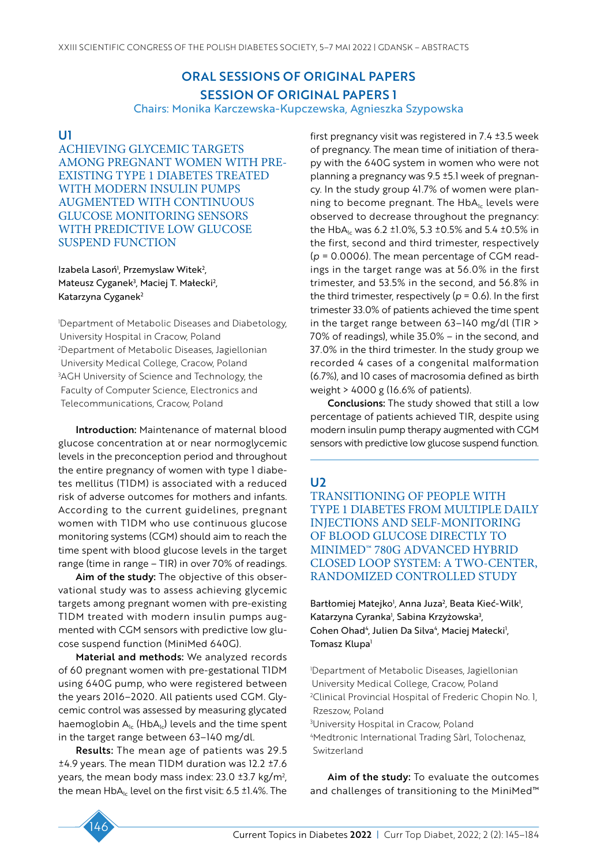# ORAL SESSIONS OF ORIGINAL PAPERS SESSION OF ORIGINAL PAPERS 1

Chairs: Monika Karczewska-Kupczewska, Agnieszka Szypowska

### U1

ACHIEVING GLYCEMIC TARGETS AMONG PREGNANT WOMEN WITH PRE-EXISTING TYPE 1 DIABETES TREATED WITH MODERN INSULIN PUMPS AUGMENTED WITH CONTINUOUS GLUCOSE MONITORING SENSORS WITH PREDICTIVE LOW GLUCOSE SUSPEND FUNCTION

Izabela Lasoń<sup>i</sup>, Przemyslaw Witek<sup>2</sup>, Mateusz Cyganek<sup>3</sup>, Maciej T. Małecki<sup>2</sup>, Katarzyna Cyganek<sup>2</sup>

1 Department of Metabolic Diseases and Diabetology, University Hospital in Cracow, Poland 2 Department of Metabolic Diseases, Jagiellonian University Medical College, Cracow, Poland 3 AGH University of Science and Technology, the Faculty of Computer Science, Electronics and Telecommunications, Cracow, Poland

Introduction: Maintenance of maternal blood glucose concentration at or near normoglycemic levels in the preconception period and throughout the entire pregnancy of women with type 1 diabetes mellitus (T1DM) is associated with a reduced risk of adverse outcomes for mothers and infants. According to the current guidelines, pregnant women with T1DM who use continuous glucose monitoring systems (CGM) should aim to reach the time spent with blood glucose levels in the target range (time in range – TIR) in over 70% of readings.

Aim of the study: The objective of this observational study was to assess achieving glycemic targets among pregnant women with pre-existing T1DM treated with modern insulin pumps augmented with CGM sensors with predictive low glucose suspend function (MiniMed 640G).

Material and methods: We analyzed records of 60 pregnant women with pre-gestational T1DM using 640G pump, who were registered between the years 2016–2020. All patients used CGM. Glycemic control was assessed by measuring glycated haemoglobin  $A_{1c}$  (Hb $A_{1c}$ ) levels and the time spent in the target range between 63–140 mg/dl.

Results: The mean age of patients was 29.5 ±4.9 years. The mean T1DM duration was 12.2 ±7.6 years, the mean body mass index: 23.0 ±3.7 kg/m2 , the mean  $HbA_{1c}$  level on the first visit: 6.5 ±1.4%. The first pregnancy visit was registered in 7.4 ±3.5 week of pregnancy. The mean time of initiation of therapy with the 640G system in women who were not planning a pregnancy was 9.5 ±5.1 week of pregnancy. In the study group 41.7% of women were planning to become pregnant. The  $HbA<sub>1c</sub>$  levels were observed to decrease throughout the pregnancy: the HbA<sub>1c</sub> was 6.2 ±1.0%, 5.3 ±0.5% and 5.4 ±0.5% in the first, second and third trimester, respectively (*p* = 0.0006). The mean percentage of CGM readings in the target range was at 56.0% in the first trimester, and 53.5% in the second, and 56.8% in the third trimester, respectively ( $p = 0.6$ ). In the first trimester 33.0% of patients achieved the time spent in the target range between 63–140 mg/dl (TIR > 70% of readings), while 35.0% – in the second, and 37.0% in the third trimester. In the study group we recorded 4 cases of a congenital malformation (6.7%), and 10 cases of macrosomia defined as birth weight > 4000 g (16.6% of patients).

Conclusions: The study showed that still a low percentage of patients achieved TIR, despite using modern insulin pump therapy augmented with CGM sensors with predictive low glucose suspend function.

### $\overline{1}$

TRANSITIONING OF PEOPLE WITH TYPE 1 DIABETES FROM MULTIPLE DAILY INJECTIONS AND SELF-MONITORING OF BLOOD GLUCOSE DIRECTLY TO MINIMED™ 780G ADVANCED HYBRID CLOSED LOOP SYSTEM: A TWO-CENTER, RANDOMIZED CONTROLLED STUDY

Bartłomiej Matejko<sup>i</sup>, Anna Juza<sup>2</sup>, Beata Kieć-Wilk<sup>i</sup>, Katarzyna Cyranka<sup>1</sup>, Sabina Krzyżowska<sup>3</sup>, Cohen Ohad<sup>4</sup>, Julien Da Silva<sup>4</sup>, Maciej Małecki<sup>1</sup>, Tomasz Klupa<sup>1</sup>

1 Department of Metabolic Diseases, Jagiellonian University Medical College, Cracow, Poland 2 Clinical Provincial Hospital of Frederic Chopin No. 1, Rzeszow, Poland 3 University Hospital in Cracow, Poland

4 Medtronic International Trading Sàrl, Tolochenaz, Switzerland

Aim of the study: To evaluate the outcomes and challenges of transitioning to the MiniMed™

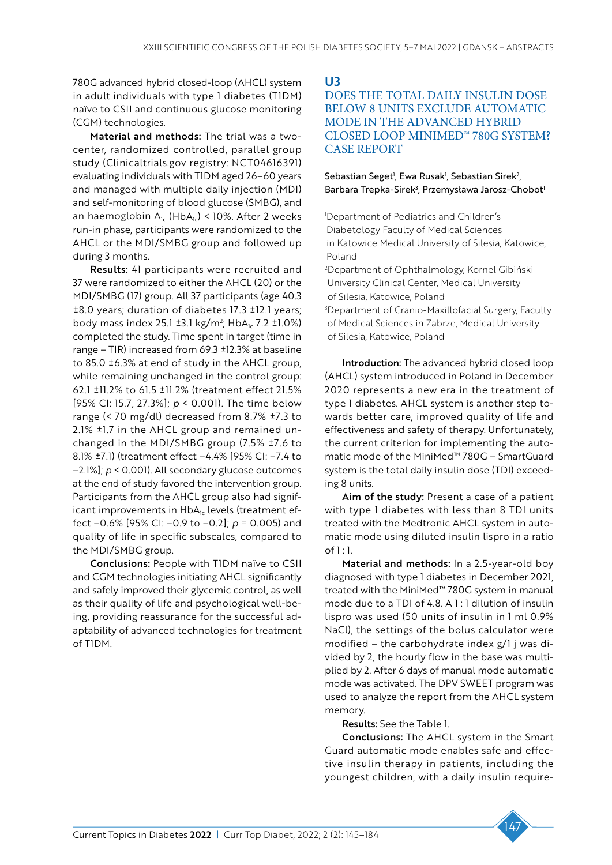780G advanced hybrid closed-loop (AHCL) system in adult individuals with type 1 diabetes (T1DM) naïve to CSII and continuous glucose monitoring (CGM) technologies.

Material and methods: The trial was a twocenter, randomized controlled, parallel group study (Clinicaltrials.gov registry: NCT04616391) evaluating individuals with T1DM aged 26–60 years and managed with multiple daily injection (MDI) and self-monitoring of blood glucose (SMBG), and an haemoglobin  $A_{1c}$  (Hb $A_{1c}$ ) < 10%. After 2 weeks run-in phase, participants were randomized to the AHCL or the MDI/SMBG group and followed up during 3 months.

Results: 41 participants were recruited and 37 were randomized to either the AHCL (20) or the MDI/SMBG (17) group. All 37 participants (age 40.3 ±8.0 years; duration of diabetes 17.3 ±12.1 years; body mass index 25.1  $\pm$ 3.1 kg/m<sup>2</sup>; HbA<sub>1c</sub> 7.2  $\pm$ 1.0%) completed the study. Time spent in target (time in range – TIR) increased from 69.3 ±12.3% at baseline to 85.0 ±6.3% at end of study in the AHCL group, while remaining unchanged in the control group: 62.1 ±11.2% to 61.5 ±11.2% (treatment effect 21.5% [95% CI: 15.7, 27.3%]; *p* < 0.001). The time below range (< 70 mg/dl) decreased from 8.7% ±7.3 to 2.1% ±1.7 in the AHCL group and remained unchanged in the MDI/SMBG group (7.5% ±7.6 to 8.1% ±7.1) (treatment effect –4.4% [95% CI: –7.4 to –2.1%]; *p* < 0.001). All secondary glucose outcomes at the end of study favored the intervention group. Participants from the AHCL group also had significant improvements in HbA<sub>1c</sub> levels (treatment effect –0.6% [95% CI: –0.9 to –0.2]; *p* = 0.005) and quality of life in specific subscales, compared to the MDI/SMBG group.

Conclusions: People with T1DM naïve to CSII and CGM technologies initiating AHCL significantly and safely improved their glycemic control, as well as their quality of life and psychological well-being, providing reassurance for the successful adaptability of advanced technologies for treatment of T1DM.

U3

# DOES THE TOTAL DAILY INSULIN DOSE BELOW 8 UNITS EXCLUDE AUTOMATIC MODE IN THE ADVANCED HYBRID CLOSED LOOP MINIMED™ 780G SYSTEM? CASE REPORT

Sebastian Seget<sup>1</sup>, Ewa Rusak<sup>1</sup>, Sebastian Sirek<sup>2</sup>, Barbara Trepka-Sirek<sup>3</sup>, Przemysława Jarosz-Chobot<sup>1</sup>

1 Department of Pediatrics and Children's Diabetology Faculty of Medical Sciences in Katowice Medical University of Silesia, Katowice, Poland 2 Department of Ophthalmology, Kornel Gibiński University Clinical Center, Medical University of Silesia, Katowice, Poland 3 Department of Cranio-Maxillofacial Surgery, Faculty of Medical Sciences in Zabrze, Medical University of Silesia, Katowice, Poland

Introduction: The advanced hybrid closed loop (AHCL) system introduced in Poland in December 2020 represents a new era in the treatment of type 1 diabetes. AHCL system is another step towards better care, improved quality of life and effectiveness and safety of therapy. Unfortunately, the current criterion for implementing the automatic mode of the MiniMed™ 780G – SmartGuard system is the total daily insulin dose (TDI) exceeding 8 units.

Aim of the study: Present a case of a patient with type 1 diabetes with less than 8 TDI units treated with the Medtronic AHCL system in automatic mode using diluted insulin lispro in a ratio  $of 1:1.$ 

Material and methods: In a 2.5-year-old boy diagnosed with type 1 diabetes in December 2021, treated with the MiniMed™ 780G system in manual mode due to a TDI of 4.8. A 1 : 1 dilution of insulin lispro was used (50 units of insulin in 1 ml 0.9% NaCl), the settings of the bolus calculator were modified – the carbohydrate index g/1 j was divided by 2, the hourly flow in the base was multiplied by 2. After 6 days of manual mode automatic mode was activated. The DPV SWEET program was used to analyze the report from the AHCL system memory.

Results: See the Table 1.

Conclusions: The AHCL system in the Smart Guard automatic mode enables safe and effective insulin therapy in patients, including the youngest children, with a daily insulin require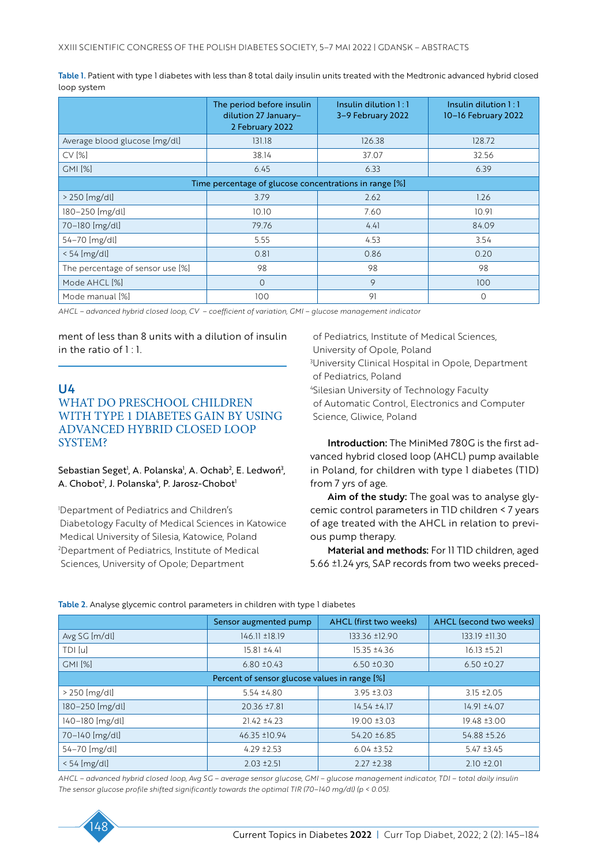Table 1. Patient with type 1 diabetes with less than 8 total daily insulin units treated with the Medtronic advanced hybrid closed loop system

|                                                        | The period before insulin<br>dilution 27 January-<br>2 February 2022 | Insulin dilution 1:1<br>3-9 February 2022 | Insulin dilution 1:1<br>10-16 February 2022 |  |  |
|--------------------------------------------------------|----------------------------------------------------------------------|-------------------------------------------|---------------------------------------------|--|--|
| Average blood glucose [mg/dl]                          | 131.18                                                               | 126.38                                    | 128.72                                      |  |  |
| CV [%]                                                 | 38.14                                                                | 37.07                                     | 32.56                                       |  |  |
| <b>GMI [%]</b>                                         | 6.45                                                                 | 6.33                                      | 6.39                                        |  |  |
| Time percentage of glucose concentrations in range [%] |                                                                      |                                           |                                             |  |  |
| $>$ 250 [mg/dl]                                        | 3.79                                                                 | 2.62                                      | 1.26                                        |  |  |
| 180-250 [mg/dl]                                        | 10.10                                                                | 7.60                                      | 10.91                                       |  |  |
| 70-180 [mg/dl]                                         | 79.76                                                                | 4.41                                      | 84.09                                       |  |  |
| 54-70 [mg/dl]                                          | 5.55                                                                 | 4.53                                      | 3.54                                        |  |  |
| $< 54$ [mg/dl]                                         | 0.81                                                                 | 0.86                                      | 0.20                                        |  |  |
| The percentage of sensor use [%]                       | 98                                                                   | 98                                        | 98                                          |  |  |
| Mode AHCL [%]                                          | $\overline{O}$                                                       | 9                                         | 100                                         |  |  |
| Mode manual [%]                                        | 100                                                                  | 91                                        | $\Omega$                                    |  |  |

*AHCL – advanced hybrid closed loop, CV – coefficient of variation, GMI – glucose management indicator*

ment of less than 8 units with a dilution of insulin in the ratio of  $1:1$ .

# U4 WHAT DO PRESCHOOL CHILDREN WITH TYPE 1 DIABETES GAIN BY USING ADVANCED HYBRID CLOSED LOOP SYSTEM?

Sebastian Seget<sup>1</sup>, A. Polanska<sup>1</sup>, A. Ochab<sup>2</sup>, E. Ledwoń<sup>3</sup>, A. Chobot<sup>2</sup>, J. Polanska<sup>4</sup>, P. Jarosz-Chobot<sup>1</sup>

1 Department of Pediatrics and Children's Diabetology Faculty of Medical Sciences in Katowice Medical University of Silesia, Katowice, Poland 2 Department of Pediatrics, Institute of Medical Sciences, University of Opole; Department

of Pediatrics, Institute of Medical Sciences, University of Opole, Poland 3 University Clinical Hospital in Opole, Department

of Pediatrics, Poland

4 Silesian University of Technology Faculty of Automatic Control, Electronics and Computer Science, Gliwice, Poland

Introduction: The MiniMed 780G is the first advanced hybrid closed loop (AHCL) pump available in Poland, for children with type 1 diabetes (T1D) from 7 yrs of age.

Aim of the study: The goal was to analyse glycemic control parameters in T1D children < 7 years of age treated with the AHCL in relation to previous pump therapy.

Material and methods: For 11 T1D children, aged 5.66 ±1.24 yrs, SAP records from two weeks preced-

| Table 2. Analyse glycemic control parameters in children with type I diabetes |  |
|-------------------------------------------------------------------------------|--|
|                                                                               |  |

|                                               | Sensor augmented pump | AHCL (first two weeks) | <b>AHCL</b> (second two weeks) |  |
|-----------------------------------------------|-----------------------|------------------------|--------------------------------|--|
| Avg SG [m/dl]                                 | 146.11 ±18.19         | 133.36 ±12.90          | 133.19 ±11.30                  |  |
| TDI [u]                                       | $15.81 \pm 4.41$      | 15.35 ±4.36            | $16.13 \pm 5.21$               |  |
| <b>GMI [%]</b>                                | $6.80 \pm 0.43$       | $6.50 \pm 0.30$        | $6.50 \pm 0.27$                |  |
| Percent of sensor glucose values in range [%] |                       |                        |                                |  |
| $>$ 250 [mg/dl]                               | $5.54 \pm 4.80$       | $3.95 \pm 3.03$        | $3.15 \pm 2.05$                |  |
| 180-250 [mg/dl]                               | 20.36 ±7.81           | 14.54 ±4.17            | $14.91 \pm 4.07$               |  |
| 140-180 [mg/dl]                               | $21.42 \pm 4.23$      | 19.00 ±3.03            | 19.48 ±3.00                    |  |
| 70-140 [mg/dl]                                | 46.35 ±10.94          | 54.20 ±6.85            | 54.88 ±5.26                    |  |
| 54-70 [mg/dl]                                 | $4.29 \pm 2.53$       | $6.04 \pm 3.52$        | $5.47 \pm 3.45$                |  |
| $< 54$ [mg/dl]                                | $2.03 \pm 2.51$       | $2.27 \pm 2.38$        | $2.10 \pm 2.01$                |  |

*AHCL – advanced hybrid closed loop, Avg SG – average sensor glucose, GMI – glucose management indicator, TDI – total daily insulin The sensor glucose profile shifted significantly towards the optimal TIR (70–140 mg/dl) (p < 0.05).*

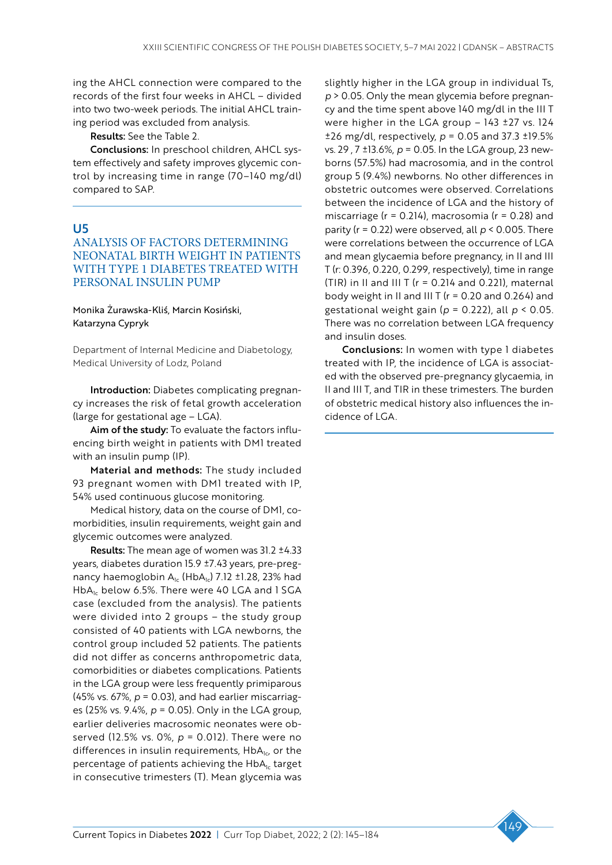ing the AHCL connection were compared to the records of the first four weeks in AHCL – divided into two two-week periods. The initial AHCL training period was excluded from analysis.

Results: See the Table 2.

Conclusions: In preschool children, AHCL system effectively and safety improves glycemic control by increasing time in range (70–140 mg/dl) compared to SAP.

# U5

# ANALYSIS OF FACTORS DETERMINING NEONATAL BIRTH WEIGHT IN PATIENTS WITH TYPE 1 DIABETES TREATED WITH PERSONAL INSULIN PUMP

#### Monika Żurawska-Kliś, Marcin Kosiński, Katarzyna Cypryk

Department of Internal Medicine and Diabetology, Medical University of Lodz, Poland

Introduction: Diabetes complicating pregnancy increases the risk of fetal growth acceleration (large for gestational age – LGA).

Aim of the study: To evaluate the factors influencing birth weight in patients with DM1 treated with an insulin pump (IP).

Material and methods: The study included 93 pregnant women with DM1 treated with IP, 54% used continuous glucose monitoring.

Medical history, data on the course of DM1, comorbidities, insulin requirements, weight gain and glycemic outcomes were analyzed.

Results: The mean age of women was 31.2 ±4.33 years, diabetes duration 15.9 ±7.43 years, pre-pregnancy haemoglobin  $A_{1c}$  (Hb $A_{1c}$ ) 7.12 ±1.28, 23% had HbA<sub>1c</sub> below 6.5%. There were 40 LGA and 1 SGA case (excluded from the analysis). The patients were divided into 2 groups – the study group consisted of 40 patients with LGA newborns, the control group included 52 patients. The patients did not differ as concerns anthropometric data, comorbidities or diabetes complications. Patients in the LGA group were less frequently primiparous (45% vs. 67%, *p* = 0.03), and had earlier miscarriages (25% vs. 9.4%, *p* = 0.05). Only in the LGA group, earlier deliveries macrosomic neonates were observed (12.5% vs. 0%, *p* = 0.012). There were no differences in insulin requirements,  $HbA_{1c}$ , or the percentage of patients achieving the  $HbA<sub>1c</sub>$  target in consecutive trimesters (T). Mean glycemia was

slightly higher in the LGA group in individual Ts, *p* > 0.05. Only the mean glycemia before pregnancy and the time spent above 140 mg/dl in the III T were higher in the LGA group – 143 ±27 vs. 124 ±26 mg/dl, respectively, *p* = 0.05 and 37.3 ±19.5% vs. 29 , 7 ±13.6%, *p* = 0.05. In the LGA group, 23 newborns (57.5%) had macrosomia, and in the control group 5 (9.4%) newborns. No other differences in obstetric outcomes were observed. Correlations between the incidence of LGA and the history of miscarriage ( $r = 0.214$ ), macrosomia ( $r = 0.28$ ) and parity (r = 0.22) were observed, all *p* < 0.005. There were correlations between the occurrence of LGA and mean glycaemia before pregnancy, in II and III T (r: 0.396, 0.220, 0.299, respectively), time in range (TIR) in II and III T ( $r = 0.214$  and 0.221), maternal body weight in II and III T ( $r = 0.20$  and 0.264) and gestational weight gain (*p* = 0.222), all *p* < 0.05. There was no correlation between LGA frequency and insulin doses.

Conclusions: In women with type 1 diabetes treated with IP, the incidence of LGA is associated with the observed pre-pregnancy glycaemia, in II and III T, and TIR in these trimesters. The burden of obstetric medical history also influences the incidence of LGA.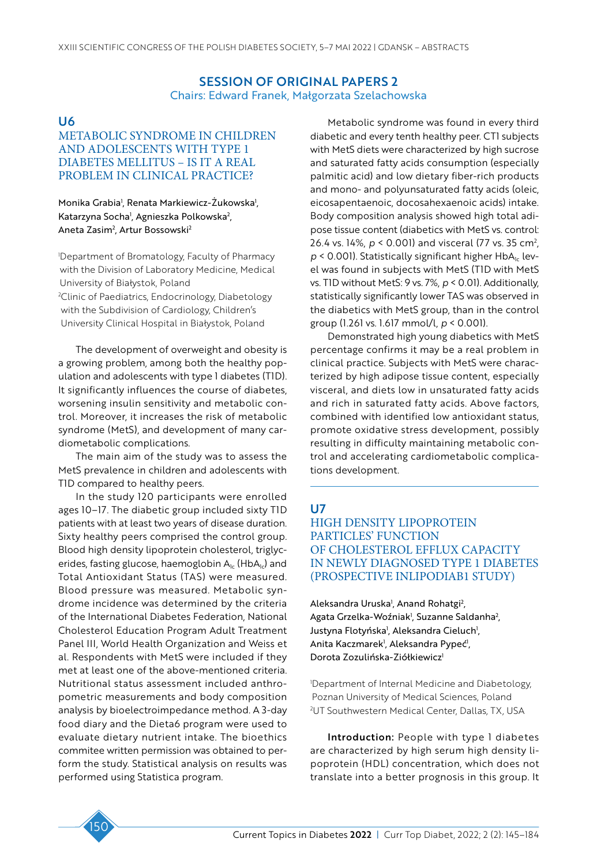# SESSION OF ORIGINAL PAPERS 2 Chairs: Edward Franek, Małgorzata Szelachowska

# U6

# METABOLIC SYNDROME IN CHILDREN AND ADOLESCENTS WITH TYPE 1 DIABETES MELLITUS – IS IT A REAL PROBLEM IN CLINICAL PRACTICE?

### Monika Grabia<sup>1</sup>, Renata Markiewicz-Zukowska<sup>1</sup>, Katarzyna Socha<sup>1</sup>, Agnieszka Polkowska<sup>2</sup>, Aneta Zasim<sup>2</sup>, Artur Bossowski<sup>2</sup>

1 Department of Bromatology, Faculty of Pharmacy with the Division of Laboratory Medicine, Medical University of Białystok, Poland 2 Clinic of Paediatrics, Endocrinology, Diabetology

with the Subdivision of Cardiology, Children's University Clinical Hospital in Białystok, Poland

The development of overweight and obesity is a growing problem, among both the healthy population and adolescents with type 1 diabetes (T1D). It significantly influences the course of diabetes, worsening insulin sensitivity and metabolic control. Moreover, it increases the risk of metabolic syndrome (MetS), and development of many cardiometabolic complications.

The main aim of the study was to assess the MetS prevalence in children and adolescents with T1D compared to healthy peers.

In the study 120 participants were enrolled ages 10–17. The diabetic group included sixty T1D patients with at least two years of disease duration. Sixty healthy peers comprised the control group. Blood high density lipoprotein cholesterol, triglycerides, fasting glucose, haemoglobin  $A_{1c}$  (Hb $A_{1c}$ ) and Total Antioxidant Status (TAS) were measured. Blood pressure was measured. Metabolic syndrome incidence was determined by the criteria of the International Diabetes Federation, National Cholesterol Education Program Adult Treatment Panel III, World Health Organization and Weiss et al. Respondents with MetS were included if they met at least one of the above-mentioned criteria. Nutritional status assessment included anthropometric measurements and body composition analysis by bioelectroimpedance method. A 3-day food diary and the Dieta6 program were used to evaluate dietary nutrient intake. The bioethics commitee written permission was obtained to perform the study. Statistical analysis on results was performed using Statistica program.

Metabolic syndrome was found in every third diabetic and every tenth healthy peer. CT1 subjects with MetS diets were characterized by high sucrose and saturated fatty acids consumption (especially palmitic acid) and low dietary fiber-rich products and mono- and polyunsaturated fatty acids (oleic, eicosapentaenoic, docosahexaenoic acids) intake. Body composition analysis showed high total adipose tissue content (diabetics with MetS vs. control: 26.4 vs. 14%, *p* < 0.001) and visceral (77 vs. 35 cm2 ,  $p$  < 0.001). Statistically significant higher HbA<sub>1c</sub> level was found in subjects with MetS (T1D with MetS vs. T1D without MetS: 9 vs. 7%, *p* < 0.01). Additionally, statistically significantly lower TAS was observed in the diabetics with MetS group, than in the control group (1.261 vs. 1.617 mmol/l, *p* < 0.001).

Demonstrated high young diabetics with MetS percentage confirms it may be a real problem in clinical practice. Subjects with MetS were characterized by high adipose tissue content, especially visceral, and diets low in unsaturated fatty acids and rich in saturated fatty acids. Above factors, combined with identified low antioxidant status, promote oxidative stress development, possibly resulting in difficulty maintaining metabolic control and accelerating cardiometabolic complications development.

# U7

# HIGH DENSITY LIPOPROTEIN PARTICLES' FUNCTION OF CHOLESTEROL EFFLUX CAPACITY IN NEWLY DIAGNOSED TYPE 1 DIABETES (PROSPECTIVE INLIPODIAB1 STUDY)

Aleksandra Uruska<sup>1</sup>, Anand Rohatgi<sup>2</sup>, Agata Grzelka-Woźniak<sup>1</sup>, Suzanne Saldanha<sup>2</sup>, Justyna Flotyńska<sup>1</sup>, Aleksandra Cieluch<sup>1</sup>, Anita Kaczmarek<sup>1</sup>, Aleksandra Pypeć<sup>1</sup>, Dorota Zozulińska-Ziółkiewicz<sup>1</sup>

1 Department of Internal Medicine and Diabetology, Poznan University of Medical Sciences, Poland 2 UT Southwestern Medical Center, Dallas, TX, USA

Introduction: People with type I diabetes are characterized by high serum high density lipoprotein (HDL) concentration, which does not translate into a better prognosis in this group. It

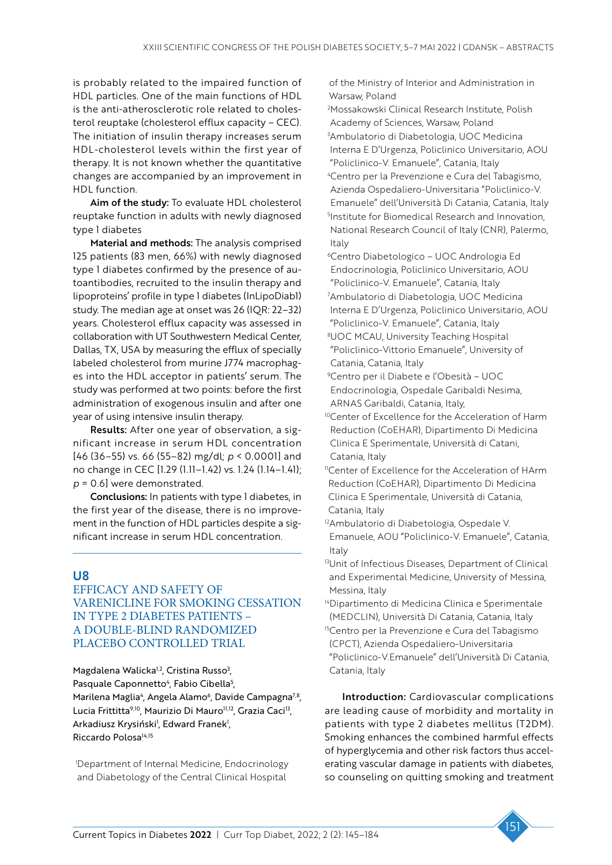is probably related to the impaired function of HDL particles. One of the main functions of HDL is the anti-atherosclerotic role related to cholesterol reuptake (cholesterol efflux capacity – CEC). The initiation of insulin therapy increases serum HDL-cholesterol levels within the first year of therapy. It is not known whether the quantitative changes are accompanied by an improvement in HDL function.

Aim of the study: To evaluate HDL cholesterol reuptake function in adults with newly diagnosed type 1 diabetes

Material and methods: The analysis comprised 125 patients (83 men, 66%) with newly diagnosed type 1 diabetes confirmed by the presence of autoantibodies, recruited to the insulin therapy and lipoproteins' profile in type 1 diabetes (InLipoDiab1) study. The median age at onset was 26 (IQR: 22–32) years. Cholesterol efflux capacity was assessed in collaboration with UT Southwestern Medical Center, Dallas, TX, USA by measuring the efflux of specially labeled cholesterol from murine J774 macrophages into the HDL acceptor in patients' serum. The study was performed at two points: before the first administration of exogenous insulin and after one year of using intensive insulin therapy.

Results: After one year of observation, a significant increase in serum HDL concentration [46 (36–55) vs. 66 (55–82) mg/dl; *p* < 0.0001] and no change in CEC [1.29 (1.11–1.42) vs. 1.24 (1.14–1.41); *p* = 0.6] were demonstrated.

Conclusions: In patients with type 1 diabetes, in the first year of the disease, there is no improvement in the function of HDL particles despite a significant increase in serum HDL concentration.

# U8

EFFICACY AND SAFETY OF VARENICLINE FOR SMOKING CESSATION IN TYPE 2 DIABETES PATIENTS – A DOUBLE-BLIND RANDOMIZED PLACEBO CONTROLLED TRIAL

Magdalena Walicka<sup>1,2</sup>, Cristina Russo<sup>3</sup>, Pasquale Caponnetto<sup>4</sup>, Fabio Cibella<sup>5</sup>, Marilena Maglia<sup>4</sup>, Angela Alamo<sup>6</sup>, Davide Campagna<sup>7,8</sup>, Lucia Frittitta<sup>9,10</sup>, Maurizio Di Mauro<sup>11,12</sup>, Grazia Caci<sup>13</sup>, Arkadiusz Krysiński<sup>1</sup>, Edward Franek<sup>1</sup>, Riccardo Polosa<sup>14,15</sup>

1 Department of Internal Medicine, Endocrinology and Diabetology of the Central Clinical Hospital

of the Ministry of Interior and Administration in Warsaw, Poland

- 2 Mossakowski Clinical Research Institute, Polish Academy of Sciences, Warsaw, Poland 3 Ambulatorio di Diabetologia, UOC Medicina Interna E D'Urgenza, Policlinico Universitario, AOU "Policlinico-V. Emanuele", Catania, Italy
- 4 Centro per la Prevenzione e Cura del Tabagismo, Azienda Ospedaliero-Universitaria "Policlinico-V. Emanuele" dell'Università Di Catania, Catania, Italy 5 Institute for Biomedical Research and Innovation, National Research Council of Italy (CNR), Palermo, Italy
- 6Centro Diabetologico UOC Andrologia Ed Endocrinologia, Policlinico Universitario, AOU "Policlinico-V. Emanuele", Catania, Italy 7 Ambulatorio di Diabetologia, UOC Medicina Interna E D'Urgenza, Policlinico Universitario, AOU "Policlinico-V. Emanuele", Catania, Italy
- 8 UOC MCAU, University Teaching Hospital "Policlinico-Vittorio Emanuele", University of Catania, Catania, Italy
- 9 Centro per il Diabete e l'Obesità UOC Endocrinologia, Ospedale Garibaldi Nesima, ARNAS Garibaldi, Catania, Italy,
- <sup>10</sup>Center of Excellence for the Acceleration of Harm Reduction (CoEHAR), Dipartimento Di Medicina Clinica E Sperimentale, Università di Catani, Catania, Italy
- <sup>11</sup>Center of Excellence for the Acceleration of HArm Reduction (CoEHAR), Dipartimento Di Medicina Clinica E Sperimentale, Università di Catania, Catania, Italy
- 12Ambulatorio di Diabetologia, Ospedale V. Emanuele, AOU "Policlinico-V. Emanuele", Catania, **Italy**
- 13Unit of Infectious Diseases, Department of Clinical and Experimental Medicine, University of Messina, Messina, Italy
- 14Dipartimento di Medicina Clinica e Sperimentale (MEDCLIN), Università Di Catania, Catania, Italy
- <sup>15</sup>Centro per la Prevenzione e Cura del Tabagismo (CPCT), Azienda Ospedaliero-Universitaria
- "Policlinico-V.Emanuele" dell'Università Di Catania, Catania, Italy

Introduction: Cardiovascular complications are leading cause of morbidity and mortality in patients with type 2 diabetes mellitus (T2DM). Smoking enhances the combined harmful effects of hyperglycemia and other risk factors thus accelerating vascular damage in patients with diabetes, so counseling on quitting smoking and treatment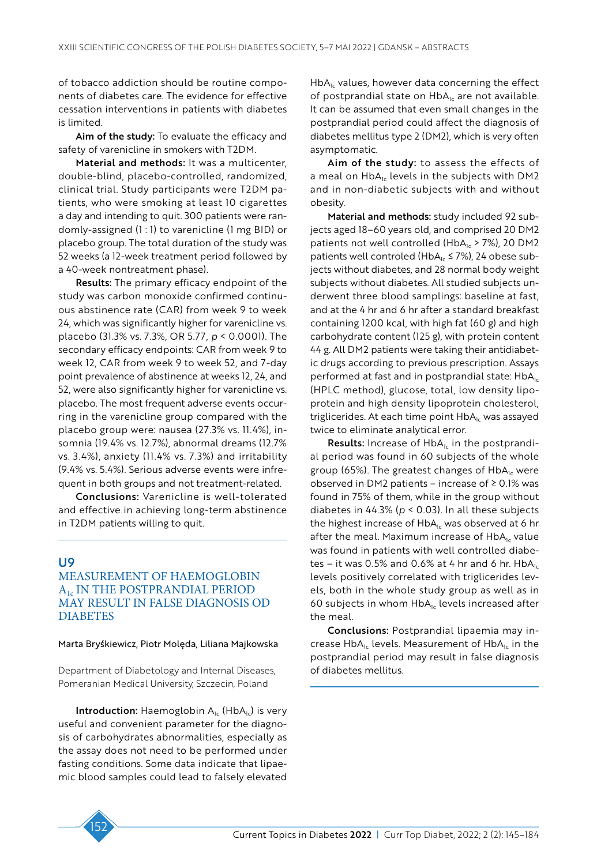of tobacco addiction should be routine components of diabetes care. The evidence for effective cessation interventions in patients with diabetes is limited.

Aim of the study: To evaluate the efficacy and safety of varenicline in smokers with T2DM.

Material and methods: It was a multicenter, double-blind, placebo-controlled, randomized, clinical trial. Study participants were T2DM patients, who were smoking at least 10 cigarettes a day and intending to quit. 300 patients were randomly-assigned (1 : 1) to varenicline (1 mg BID) or placebo group. The total duration of the study was 52 weeks (a 12-week treatment period followed by a 40-week nontreatment phase).

Results: The primary efficacy endpoint of the study was carbon monoxide confirmed continuous abstinence rate (CAR) from week 9 to week 24, which was significantly higher for varenicline vs. placebo (31.3% vs. 7.3%, OR 5.77, *p* < 0.0001). The secondary efficacy endpoints: CAR from week 9 to week 12, CAR from week 9 to week 52, and 7-day point prevalence of abstinence at weeks 12, 24, and 52, were also significantly higher for varenicline vs. placebo. The most frequent adverse events occurring in the varenicline group compared with the placebo group were: nausea (27.3% vs. 11.4%), insomnia (19.4% vs. 12.7%), abnormal dreams (12.7% vs. 3.4%), anxiety (11.4% vs. 7.3%) and irritability (9.4% vs. 5.4%). Serious adverse events were infrequent in both groups and not treatment-related.

Conclusions: Varenicline is well-tolerated and effective in achieving long-term abstinence in T2DM patients willing to quit.

### U9

# MEASUREMENT OF HAEMOGLOBIN A1c IN THE POSTPRANDIAL PERIOD MAY RESULT IN FALSE DIAGNOSIS OD **DIABETES**

Marta Bryśkiewicz, Piotr Molęda, Liliana Majkowska

Department of Diabetology and Internal Diseases, Pomeranian Medical University, Szczecin, Poland

**Introduction:** Haemoglobin  $A_{1c}$  (Hb $A_{1c}$ ) is very useful and convenient parameter for the diagnosis of carbohydrates abnormalities, especially as the assay does not need to be performed under fasting conditions. Some data indicate that lipaemic blood samples could lead to falsely elevated

 $HbA<sub>1c</sub>$  values, however data concerning the effect of postprandial state on HbA<sub>1c</sub> are not available. It can be assumed that even small changes in the postprandial period could affect the diagnosis of diabetes mellitus type 2 (DM2), which is very often asymptomatic.

Aim of the study: to assess the effects of a meal on  $HbA<sub>1c</sub>$  levels in the subjects with DM2 and in non-diabetic subjects with and without obesity.

Material and methods: study included 92 subjects aged 18–60 years old, and comprised 20 DM2 patients not well controlled (HbA $_{1c}$  > 7%), 20 DM2 patients well controled (HbA<sub>1c</sub>  $\leq$  7%), 24 obese subjects without diabetes, and 28 normal body weight subjects without diabetes. All studied subjects underwent three blood samplings: baseline at fast, and at the 4 hr and 6 hr after a standard breakfast containing 1200 kcal, with high fat (60 g) and high carbohydrate content (125 g), with protein content 44 g. All DM2 patients were taking their antidiabetic drugs according to previous prescription. Assays performed at fast and in postprandial state:  $HbA<sub>1c</sub>$ (HPLC method), glucose, total, low density lipoprotein and high density lipoprotein cholesterol, triglicerides. At each time point HbA<sub>1c</sub> was assayed twice to eliminate analytical error.

**Results:** Increase of  $HbA<sub>1c</sub>$  in the postprandial period was found in 60 subjects of the whole group (65%). The greatest changes of  $HbA<sub>1c</sub>$  were observed in DM2 patients – increase of  $\geq$  0.1% was found in 75% of them, while in the group without diabetes in 44.3% (*p* < 0.03). In all these subjects the highest increase of  $HbA<sub>1c</sub>$  was observed at 6 hr after the meal. Maximum increase of  $HbA<sub>1c</sub>$  value was found in patients with well controlled diabetes – it was 0.5% and 0.6% at 4 hr and 6 hr.  $HbA_{1c}$ levels positively correlated with triglicerides levels, both in the whole study group as well as in 60 subjects in whom  $HbA_{1c}$  levels increased after the meal.

Conclusions: Postprandial lipaemia may increase  $HbA_{1c}$  levels. Measurement of  $HbA_{1c}$  in the postprandial period may result in false diagnosis of diabetes mellitus.

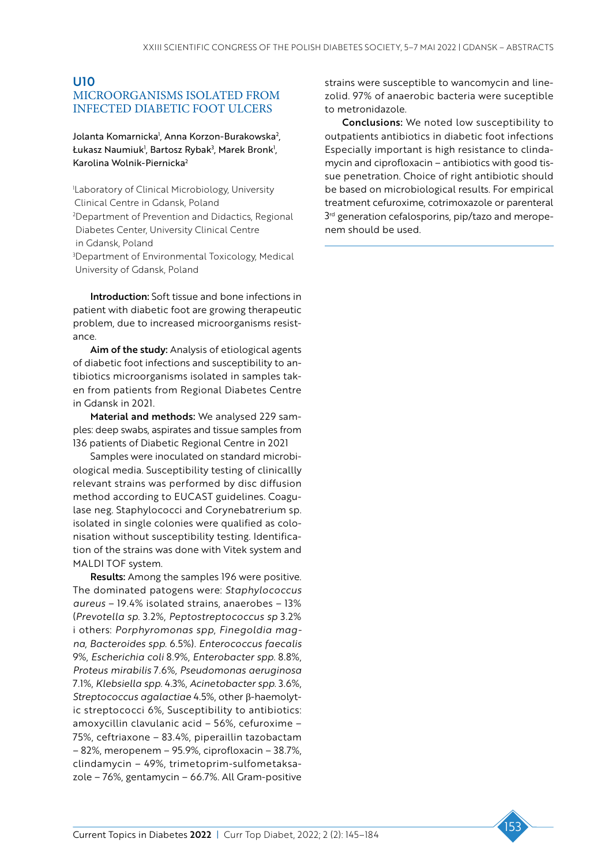# U10 MICROORGANISMS ISOLATED FROM INFECTED DIABETIC FOOT ULCERS

Jolanta Komarnicka<sup>1</sup>, Anna Korzon-Burakowska<sup>2</sup>, Łukasz Naumiuk<sup>1</sup>, Bartosz Rybak<sup>3</sup>, Marek Bronk<sup>1</sup>, Karolina Wolnik-Piernicka2

1 Laboratory of Clinical Microbiology, University Clinical Centre in Gdansk, Poland 2 Department of Prevention and Didactics, Regional Diabetes Center, University Clinical Centre in Gdansk, Poland

3 Department of Environmental Toxicology, Medical University of Gdansk, Poland

Introduction: Soft tissue and bone infections in patient with diabetic foot are growing therapeutic problem, due to increased microorganisms resistance.

Aim of the study: Analysis of etiological agents of diabetic foot infections and susceptibility to antibiotics microorganisms isolated in samples taken from patients from Regional Diabetes Centre in Gdansk in 2021.

Material and methods: We analysed 229 samples: deep swabs, aspirates and tissue samples from 136 patients of Diabetic Regional Centre in 2021

Samples were inoculated on standard microbiological media. Susceptibility testing of clinicallly relevant strains was performed by disc diffusion method according to EUCAST guidelines. Coagulase neg. Staphylococci and Corynebatrerium sp. isolated in single colonies were qualified as colonisation without susceptibility testing. Identification of the strains was done with Vitek system and MALDI TOF system.

Results: Among the samples 196 were positive. The dominated patogens were: *Staphylococcus aureus* – 19.4% isolated strains, anaerobes – 13% (*Prevotella sp*. 3.2%, *Peptostreptococcus sp* 3.2% i others: *Porphyromonas spp*, *Finegoldia magna*, *Bacteroides spp*. 6.5%). *Enterococcus faecalis* 9%, *Escherichia coli* 8.9%, *Enterobacter spp*. 8.8%, *Proteus mirabilis* 7.6%, *Pseudomonas aeruginosa* 7.1%, *Klebsiella spp*. 4.3%, *Acinetobacter spp*. 3.6%, *Streptococcus agalactiae* 4.5%, other β-haemolytic streptococci 6%, Susceptibility to antibiotics: amoxycillin clavulanic acid – 56%, cefuroxime – 75%, ceftriaxone – 83.4%, piperaillin tazobactam – 82%, meropenem – 95.9%, ciprofloxacin – 38.7%, clindamycin – 49%, trimetoprim-sulfometaksazole – 76%, gentamycin – 66.7%. All Gram-positive

strains were susceptible to wancomycin and linezolid. 97% of anaerobic bacteria were suceptible to metronidazole.

Conclusions: We noted low susceptibility to outpatients antibiotics in diabetic foot infections Especially important is high resistance to clindamycin and ciprofloxacin – antibiotics with good tissue penetration. Choice of right antibiotic should be based on microbiological results. For empirical treatment cefuroxime, cotrimoxazole or parenteral 3<sup>rd</sup> generation cefalosporins, pip/tazo and meropenem should be used.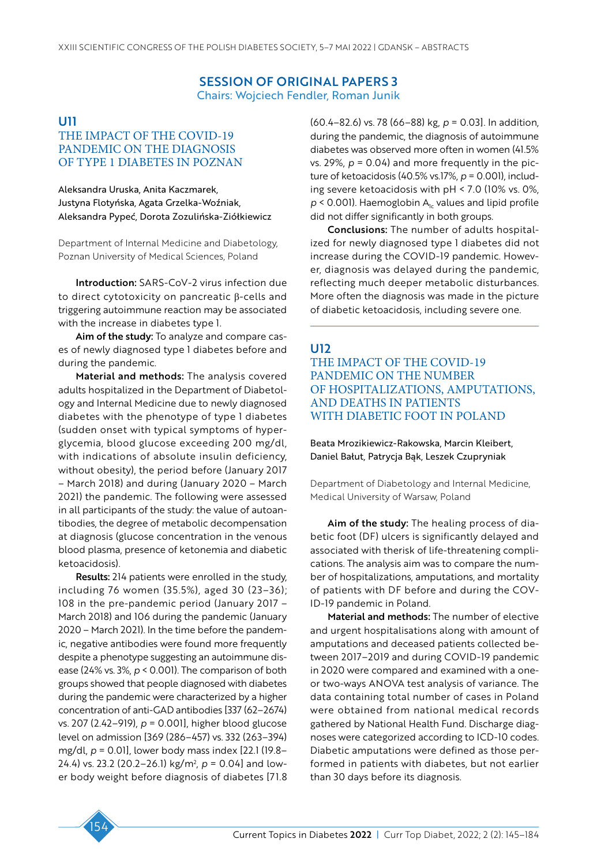# SESSION OF ORIGINAL PAPERS 3 Chairs: Wojciech Fendler, Roman Junik

# U11

# THE IMPACT OF THE COVID-19 PANDEMIC ON THE DIAGNOSIS OF TYPE 1 DIABETES IN POZNAN

Aleksandra Uruska, Anita Kaczmarek, Justyna Flotyńska, Agata Grzelka-Woźniak, Aleksandra Pypeć, Dorota Zozulińska-Ziółkiewicz

Department of Internal Medicine and Diabetology, Poznan University of Medical Sciences, Poland

Introduction: SARS-CoV-2 virus infection due to direct cytotoxicity on pancreatic β-cells and triggering autoimmune reaction may be associated with the increase in diabetes type 1.

Aim of the study: To analyze and compare cases of newly diagnosed type 1 diabetes before and during the pandemic.

Material and methods: The analysis covered adults hospitalized in the Department of Diabetology and Internal Medicine due to newly diagnosed diabetes with the phenotype of type 1 diabetes (sudden onset with typical symptoms of hyperglycemia, blood glucose exceeding 200 mg/dl, with indications of absolute insulin deficiency, without obesity), the period before (January 2017 – March 2018) and during (January 2020 – March 2021) the pandemic. The following were assessed in all participants of the study: the value of autoantibodies, the degree of metabolic decompensation at diagnosis (glucose concentration in the venous blood plasma, presence of ketonemia and diabetic ketoacidosis).

Results: 214 patients were enrolled in the study, including 76 women (35.5%), aged 30 (23–36); 108 in the pre-pandemic period (January 2017 – March 2018) and 106 during the pandemic (January 2020 – March 2021). In the time before the pandemic, negative antibodies were found more frequently despite a phenotype suggesting an autoimmune disease (24% vs. 3%, *p* < 0.001). The comparison of both groups showed that people diagnosed with diabetes during the pandemic were characterized by a higher concentration of anti-GAD antibodies [337 (62–2674) vs. 207 (2.42–919), *p* = 0.001], higher blood glucose level on admission [369 (286–457) vs. 332 (263–394) mg/dl, *p* = 0.01], lower body mass index [22.1 (19.8– 24.4) vs. 23.2 (20.2–26.1) kg/m2 , *p* = 0.04] and lower body weight before diagnosis of diabetes [71.8 (60.4–82.6) vs. 78 (66–88) kg, *p* = 0.03]. In addition, during the pandemic, the diagnosis of autoimmune diabetes was observed more often in women (41.5% vs.  $29\%$ ,  $p = 0.04$ ) and more frequently in the picture of ketoacidosis (40.5% vs.17%, *p* = 0.001), including severe ketoacidosis with pH < 7.0 (10% vs. 0%,  $p$  < 0.001). Haemoglobin  $A<sub>1c</sub>$  values and lipid profile did not differ significantly in both groups.

Conclusions: The number of adults hospitalized for newly diagnosed type 1 diabetes did not increase during the COVID-19 pandemic. However, diagnosis was delayed during the pandemic, reflecting much deeper metabolic disturbances. More often the diagnosis was made in the picture of diabetic ketoacidosis, including severe one.

# U12

THE IMPACT OF THE COVID-19 PANDEMIC ON THE NUMBER OF HOSPITALIZATIONS, AMPUTATIONS, AND DEATHS IN PATIENTS WITH DIABETIC FOOT IN POLAND

Beata Mrozikiewicz-Rakowska, Marcin Kleibert, Daniel Bałut, Patrycja Bąk, Leszek Czupryniak

Department of Diabetology and Internal Medicine, Medical University of Warsaw, Poland

Aim of the study: The healing process of diabetic foot (DF) ulcers is significantly delayed and associated with therisk of life-threatening complications. The analysis aim was to compare the number of hospitalizations, amputations, and mortality of patients with DF before and during the COV-ID-19 pandemic in Poland.

Material and methods: The number of elective and urgent hospitalisations along with amount of amputations and deceased patients collected between 2017–2019 and during COVID-19 pandemic in 2020 were compared and examined with a oneor two-ways ANOVA test analysis of variance. The data containing total number of cases in Poland were obtained from national medical records gathered by National Health Fund. Discharge diagnoses were categorized according to ICD-10 codes. Diabetic amputations were defined as those performed in patients with diabetes, but not earlier than 30 days before its diagnosis.

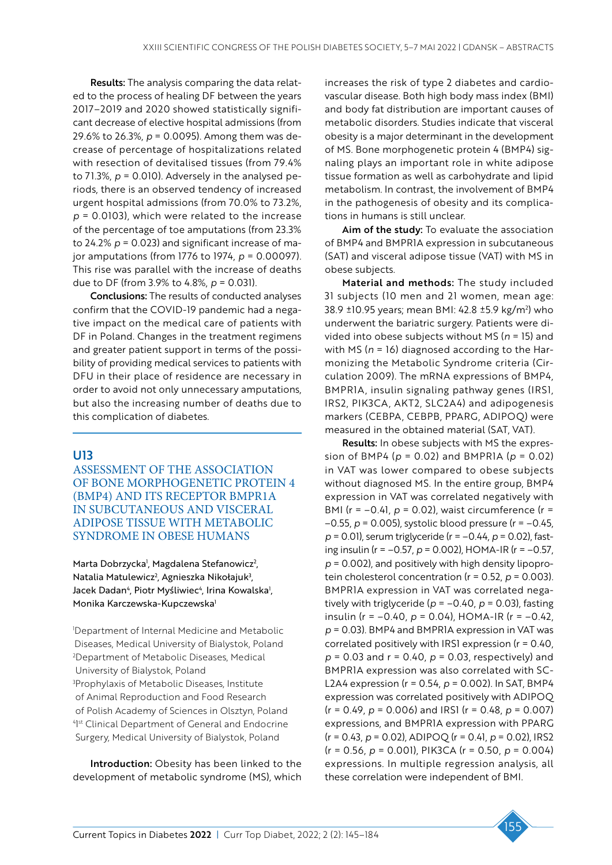Results: The analysis comparing the data related to the process of healing DF between the years 2017–2019 and 2020 showed statistically significant decrease of elective hospital admissions (from 29.6% to 26.3%, *p* = 0.0095). Among them was decrease of percentage of hospitalizations related with resection of devitalised tissues (from 79.4% to  $71.3\%$ ,  $p = 0.010$ ). Adversely in the analysed periods, there is an observed tendency of increased urgent hospital admissions (from 70.0% to 73.2%, *p* = 0.0103), which were related to the increase of the percentage of toe amputations (from 23.3% to 24.2% *p* = 0.023) and significant increase of major amputations (from 1776 to 1974, *p* = 0.00097). This rise was parallel with the increase of deaths due to DF (from 3.9% to 4.8%, *p* = 0.031).

Conclusions: The results of conducted analyses confirm that the COVID-19 pandemic had a negative impact on the medical care of patients with DF in Poland. Changes in the treatment regimens and greater patient support in terms of the possibility of providing medical services to patients with DFU in their place of residence are necessary in order to avoid not only unnecessary amputations, but also the increasing number of deaths due to this complication of diabetes.

# U13

ASSESSMENT OF THE ASSOCIATION OF BONE MORPHOGENETIC PROTEIN 4 (BMP4) AND ITS RECEPTOR BMPR1A IN SUBCUTANEOUS AND VISCERAL ADIPOSE TISSUE WITH METABOLIC SYNDROME IN OBESE HUMANS

Marta Dobrzycka<sup>1</sup>, Magdalena Stefanowicz<sup>2</sup>, Natalia Matulewicz<sup>2</sup>, Agnieszka Nikołajuk<sup>3</sup>, Jacek Dadan<sup>4</sup>, Piotr Myśliwiec<sup>4</sup>, Irina Kowalska<sup>1</sup>, Monika Karczewska-Kupczewska1

1 Department of Internal Medicine and Metabolic Diseases, Medical University of Bialystok, Poland 2 Department of Metabolic Diseases, Medical University of Bialystok, Poland 3 Prophylaxis of Metabolic Diseases, Institute of Animal Reproduction and Food Research of Polish Academy of Sciences in Olsztyn, Poland 4 1 st Clinical Department of General and Endocrine Surgery, Medical University of Bialystok, Poland

Introduction: Obesity has been linked to the development of metabolic syndrome (MS), which

increases the risk of type 2 diabetes and cardiovascular disease. Both high body mass index (BMI) and body fat distribution are important causes of metabolic disorders. Studies indicate that visceral obesity is a major determinant in the development of MS. Bone morphogenetic protein 4 (BMP4) signaling plays an important role in white adipose tissue formation as well as carbohydrate and lipid metabolism. In contrast, the involvement of BMP4 in the pathogenesis of obesity and its complications in humans is still unclear.

Aim of the study: To evaluate the association of BMP4 and BMPR1A expression in subcutaneous (SAT) and visceral adipose tissue (VAT) with MS in obese subjects.

Material and methods: The study included 31 subjects (10 men and 21 women, mean age: 38.9 ±10.95 years; mean BMI: 42.8 ±5.9 kg/m2 ) who underwent the bariatric surgery. Patients were divided into obese subjects without MS (*n* = 15) and with MS (*n* = 16) diagnosed according to the Harmonizing the Metabolic Syndrome criteria (Circulation 2009). The mRNA expressions of BMP4, BMPR1A, insulin signaling pathway genes (IRS1, IRS2, PIK3CA, AKT2, SLC2A4) and adipogenesis markers (CEBPA, CEBPB, PPARG, ADIPOQ) were measured in the obtained material (SAT, VAT).

Results: In obese subjects with MS the expression of BMP4 (*p* = 0.02) and BMPR1A (*p* = 0.02) in VAT was lower compared to obese subjects without diagnosed MS. In the entire group, BMP4 expression in VAT was correlated negatively with BMI (r = –0.41, *p* = 0.02), waist circumference (r = –0.55, *p* = 0.005), systolic blood pressure (r = –0.45, *p* = 0.01), serum triglyceride (r = –0.44, *p* = 0.02), fasting insulin (r = –0.57, *p* = 0.002), HOMA-IR (r = –0.57, *p* = 0.002), and positively with high density lipoprotein cholesterol concentration ( $r = 0.52$ ,  $p = 0.003$ ). BMPR1A expression in VAT was correlated negatively with triglyceride ( $p = -0.40$ ,  $p = 0.03$ ), fasting insulin (r = –0.40, *p* = 0.04), HOMA-IR (r = –0.42, *p* = 0.03). BMP4 and BMPR1A expression in VAT was correlated positively with IRS1 expression (r = 0.40, *p* = 0.03 and r = 0.40, *p* = 0.03, respectively) and BMPR1A expression was also correlated with SC-L2A4 expression (r = 0.54, *p* = 0.002). In SAT, BMP4 expression was correlated positively with ADIPOQ (r = 0.49, *p* = 0.006) and IRS1 (r = 0.48, *p* = 0.007) expressions, and BMPR1A expression with PPARG (r = 0.43, *p* = 0.02), ADIPOQ (r = 0.41, *p* = 0.02), IRS2 (r = 0.56, *p* = 0.001), PIK3CA (r = 0.50, *p* = 0.004) expressions. In multiple regression analysis, all these correlation were independent of BMI.

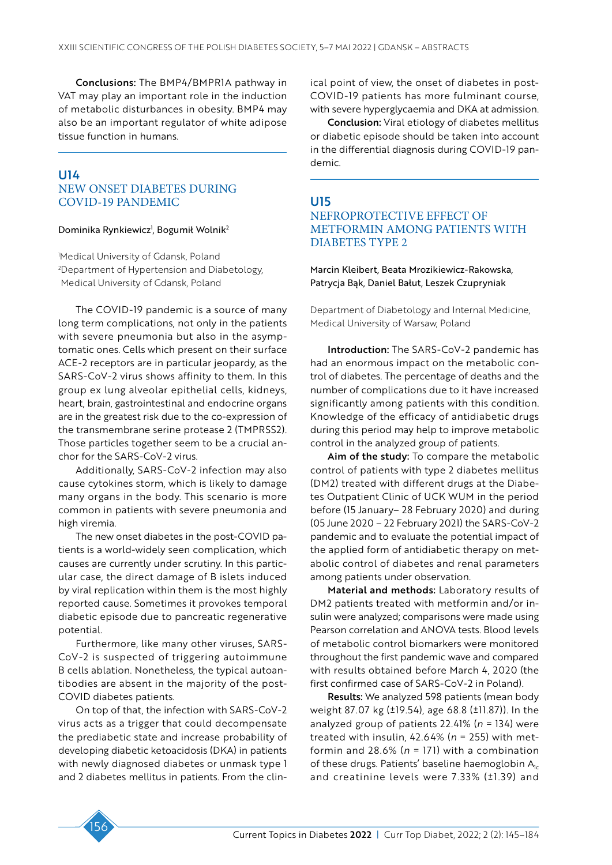Conclusions: The BMP4/BMPR1A pathway in VAT may play an important role in the induction of metabolic disturbances in obesity. BMP4 may also be an important regulator of white adipose tissue function in humans.

### U14 NEW ONSET DIABETES DURING COVID-19 PANDEMIC

#### Dominika Rynkiewicz<sup>ı</sup>, Bogumił Wolnik<sup>2</sup>

1 Medical University of Gdansk, Poland 2 Department of Hypertension and Diabetology, Medical University of Gdansk, Poland

The COVID-19 pandemic is a source of many long term complications, not only in the patients with severe pneumonia but also in the asymptomatic ones. Cells which present on their surface ACE-2 receptors are in particular jeopardy, as the SARS-CoV-2 virus shows affinity to them. In this group ex lung alveolar epithelial cells, kidneys, heart, brain, gastrointestinal and endocrine organs are in the greatest risk due to the co-expression of the transmembrane serine protease 2 (TMPRSS2). Those particles together seem to be a crucial anchor for the SARS-CoV-2 virus.

Additionally, SARS-CoV-2 infection may also cause cytokines storm, which is likely to damage many organs in the body. This scenario is more common in patients with severe pneumonia and high viremia.

The new onset diabetes in the post-COVID patients is a world-widely seen complication, which causes are currently under scrutiny. In this particular case, the direct damage of B islets induced by viral replication within them is the most highly reported cause. Sometimes it provokes temporal diabetic episode due to pancreatic regenerative potential.

Furthermore, like many other viruses, SARS-CoV-2 is suspected of triggering autoimmune B cells ablation. Nonetheless, the typical autoantibodies are absent in the majority of the post-COVID diabetes patients.

On top of that, the infection with SARS-CoV-2 virus acts as a trigger that could decompensate the prediabetic state and increase probability of developing diabetic ketoacidosis (DKA) in patients with newly diagnosed diabetes or unmask type 1 and 2 diabetes mellitus in patients. From the clinical point of view, the onset of diabetes in post-COVID-19 patients has more fulminant course, with severe hyperglycaemia and DKA at admission.

Conclusion: Viral etiology of diabetes mellitus or diabetic episode should be taken into account in the differential diagnosis during COVID-19 pandemic.

# U15

# NEFROPROTECTIVE EFFECT OF METFORMIN AMONG PATIENTS WITH DIABETES TYPE 2

Marcin Kleibert, Beata Mrozikiewicz-Rakowska, Patrycja Bąk, Daniel Bałut, Leszek Czupryniak

Department of Diabetology and Internal Medicine, Medical University of Warsaw, Poland

Introduction: The SARS-CoV-2 pandemic has had an enormous impact on the metabolic control of diabetes. The percentage of deaths and the number of complications due to it have increased significantly among patients with this condition. Knowledge of the efficacy of antidiabetic drugs during this period may help to improve metabolic control in the analyzed group of patients.

Aim of the study: To compare the metabolic control of patients with type 2 diabetes mellitus (DM2) treated with different drugs at the Diabetes Outpatient Clinic of UCK WUM in the period before (15 January– 28 February 2020) and during (05 June 2020 – 22 February 2021) the SARS-CoV-2 pandemic and to evaluate the potential impact of the applied form of antidiabetic therapy on metabolic control of diabetes and renal parameters among patients under observation.

Material and methods: Laboratory results of DM2 patients treated with metformin and/or insulin were analyzed; comparisons were made using Pearson correlation and ANOVA tests. Blood levels of metabolic control biomarkers were monitored throughout the first pandemic wave and compared with results obtained before March 4, 2020 (the first confirmed case of SARS-CoV-2 in Poland).

Results: We analyzed 598 patients (mean body weight 87.07 kg (±19.54), age 68.8 (±11.87)). In the analyzed group of patients 22.41% (*n* = 134) were treated with insulin, 42.64% (*n* = 255) with metformin and 28.6% (*n* = 171) with a combination of these drugs. Patients' baseline haemoglobin  $A_{1c}$ and creatinine levels were 7.33% (±1.39) and

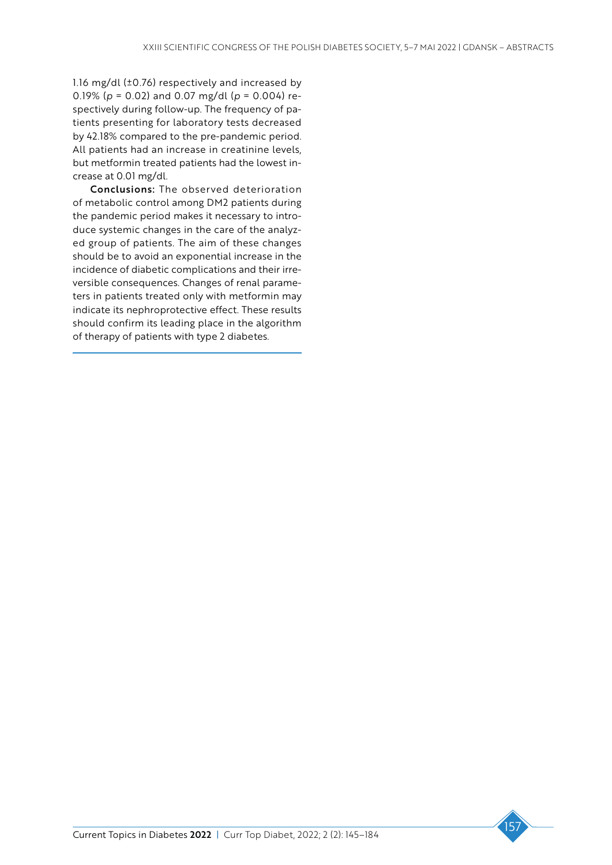1.16 mg/dl (±0.76) respectively and increased by 0.19% (*p* = 0.02) and 0.07 mg/dl (*p* = 0.004) respectively during follow-up. The frequency of patients presenting for laboratory tests decreased by 42.18% compared to the pre-pandemic period. All patients had an increase in creatinine levels, but metformin treated patients had the lowest increase at 0.01 mg/dl.

Conclusions: The observed deterioration of metabolic control among DM2 patients during the pandemic period makes it necessary to introduce systemic changes in the care of the analyzed group of patients. The aim of these changes should be to avoid an exponential increase in the incidence of diabetic complications and their irreversible consequences. Changes of renal parameters in patients treated only with metformin may indicate its nephroprotective effect. These results should confirm its leading place in the algorithm of therapy of patients with type 2 diabetes.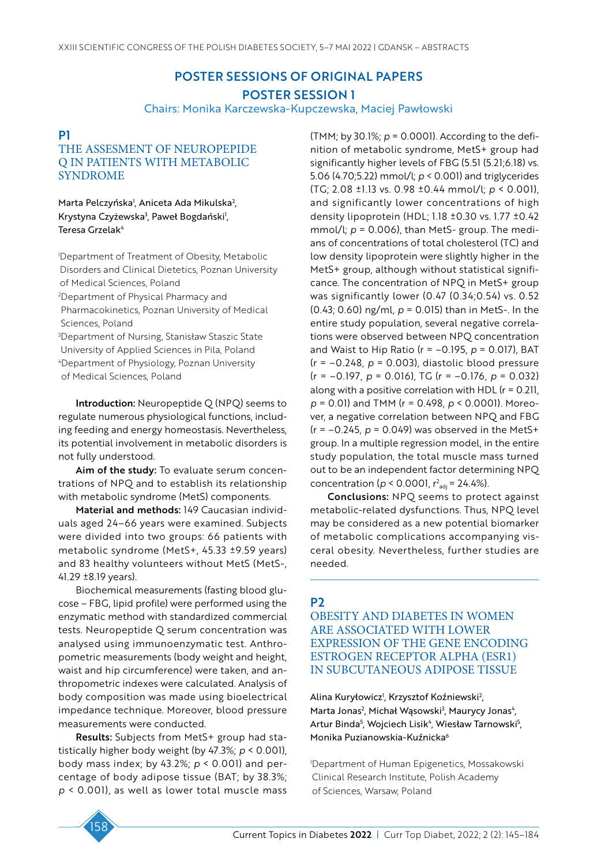# POSTER SESSIONS OF ORIGINAL PAPERS POSTER SESSION 1

Chairs: Monika Karczewska-Kupczewska, Maciej Pawłowski

### P1

# THE ASSESMENT OF NEUROPEPIDE Q IN PATIENTS WITH METABOLIC SYNDROME

Marta Pelczyńska<sup>,</sup> Aniceta Ada Mikulska<sup>2</sup>, Krystyna Czyżewska<sup>3</sup>, Paweł Bogdański<sup>1</sup>, Teresa Grzelak<sup>4</sup>

1 Department of Treatment of Obesity, Metabolic Disorders and Clinical Dietetics, Poznan University of Medical Sciences, Poland 2 Department of Physical Pharmacy and Pharmacokinetics, Poznan University of Medical Sciences, Poland

3 Department of Nursing, Stanisław Staszic State University of Applied Sciences in Pila, Poland 4 Department of Physiology, Poznan University of Medical Sciences, Poland

Introduction: Neuropeptide Q (NPQ) seems to regulate numerous physiological functions, including feeding and energy homeostasis. Nevertheless, its potential involvement in metabolic disorders is not fully understood.

Aim of the study: To evaluate serum concentrations of NPQ and to establish its relationship with metabolic syndrome (MetS) components.

Material and methods: 149 Caucasian individuals aged 24–66 years were examined. Subjects were divided into two groups: 66 patients with metabolic syndrome (MetS+, 45.33 ±9.59 years) and 83 healthy volunteers without MetS (MetS-, 41.29 ±8.19 years).

Biochemical measurements (fasting blood glucose – FBG, lipid profile) were performed using the enzymatic method with standardized commercial tests. Neuropeptide Q serum concentration was analysed using immunoenzymatic test. Anthropometric measurements (body weight and height, waist and hip circumference) were taken, and anthropometric indexes were calculated. Analysis of body composition was made using bioelectrical impedance technique. Moreover, blood pressure measurements were conducted.

Results: Subjects from MetS+ group had statistically higher body weight (by 47.3%; *p* < 0.001), body mass index; by 43.2%; *p* < 0.001) and percentage of body adipose tissue (BAT; by 38.3%; *p* < 0.001), as well as lower total muscle mass

(TMM; by 30.1%; *p* = 0.0001). According to the definition of metabolic syndrome, MetS+ group had significantly higher levels of FBG (5.51 (5.21;6.18) vs. 5.06 (4.70;5.22) mmol/l; *p* < 0.001) and triglycerides (TG; 2.08 ±1.13 vs. 0.98 ±0.44 mmol/l; *p* < 0.001), and significantly lower concentrations of high density lipoprotein (HDL; 1.18 ±0.30 vs. 1.77 ±0.42 mmol/l; *p* = 0.006), than MetS- group. The medians of concentrations of total cholesterol (TC) and low density lipoprotein were slightly higher in the MetS+ group, although without statistical significance. The concentration of NPQ in MetS+ group was significantly lower (0.47 (0.34;0.54) vs. 0.52 (0.43; 0.60) ng/ml, *p* = 0.015) than in MetS-. In the entire study population, several negative correlations were observed between NPQ concentration and Waist to Hip Ratio (r = –0.195, *p* = 0.017), BAT (r = –0.248, *p* = 0.003), diastolic blood pressure (r = –0.197, *p* = 0.016), TG (r = –0.176, *p* = 0.032) along with a positive correlation with HDL ( $r = 0.211$ , *p* = 0.01) and TMM (r = 0.498, *p* < 0.0001). Moreover, a negative correlation between NPQ and FBG  $(r = -0.245, p = 0.049)$  was observed in the MetS+ group. In a multiple regression model, in the entire study population, the total muscle mass turned out to be an independent factor determining NPQ concentration ( $p < 0.0001$ ,  $r^2_{\text{adj}} = 24.4\%$ ).

Conclusions: NPQ seems to protect against metabolic-related dysfunctions. Thus, NPQ level may be considered as a new potential biomarker of metabolic complications accompanying visceral obesity. Nevertheless, further studies are needed.

### P2

OBESITY AND DIABETES IN WOMEN ARE ASSOCIATED WITH LOWER EXPRESSION OF THE GENE ENCODING ESTROGEN RECEPTOR ALPHA (ESR1) IN SUBCUTANEOUS ADIPOSE TISSUE

Alina Kuryłowicz<sup>i</sup>, Krzysztof Koźniewski<sup>2</sup>, Marta Jonas<sup>2</sup>, Michał Wąsowski<sup>3</sup>, Maurycy Jonas<sup>4</sup>, Artur Binda<sup>5</sup>, Wojciech Lisik<sup>4</sup>, Wiesław Tarnowski<sup>5</sup>, Monika Puzianowskia-Kuźnicka<sup>6</sup>

1 Department of Human Epigenetics, Mossakowski Clinical Research Institute, Polish Academy of Sciences, Warsaw, Poland

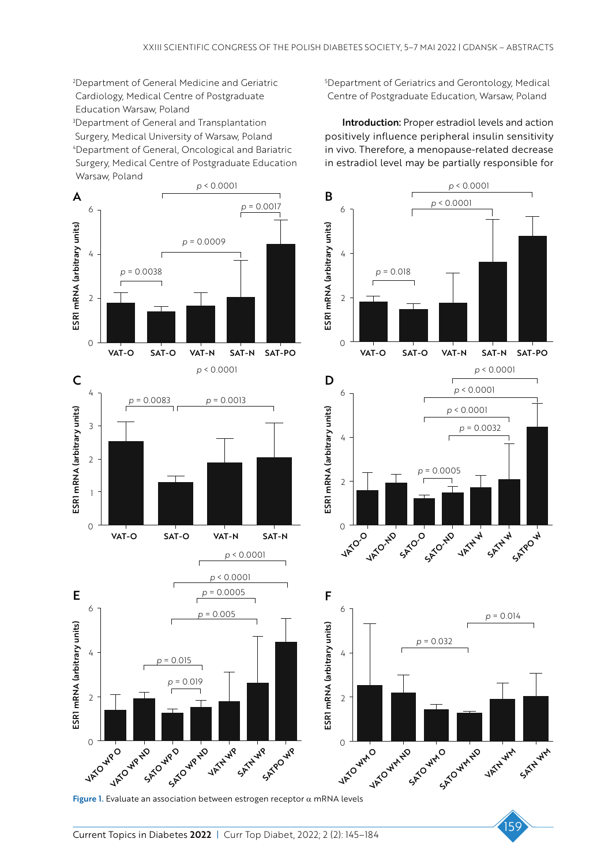2 Department of General Medicine and Geriatric Cardiology, Medical Centre of Postgraduate Education Warsaw, Poland

3 Department of General and Transplantation Surgery, Medical University of Warsaw, Poland 4 Department of General, Oncological and Bariatric Surgery, Medical Centre of Postgraduate Education Warsaw, Poland

*p* < 0.0001 A *p* = 0.0017 6 ESRI mRNA (arbitrary units)  $p = 0.0009$ <br> *p* = 0.0038<br> **p** = 0.0038<br> **p** = 0.018<br> **p** = 0.018<br> **p** = 0.018<br> **p** = 0.018<br> **p** = 0.018 ESR1 mRNA (arbitrary units) *p* = 0.0009 4 2  $\overline{O}$ VAT-O SAT-O VAT-N SAT-N SAT-PO C<sub>D</sub> 4 *p* = 0.0083 *p* = 0.0013 ESR1 mRNA (arbitrary units) ESR1 mRNA (arbitrary units) 3 2 1 0 VAT-O SAT-O VAT-N SAT-N  $\begin{array}{cc} \sqrt{O} \\ \sqrt{O} \end{array}$ *p* < 0.0001

*p* < 0.0001 *p* = 0.0005 **E**  $p = 0.0005$  **F** 6 ESR1 mRNA (arbitrary units) ESR1 mRNA (arbitrary units) 4 *p* = 0.015 *p* = 0.019 2 **VATO WP ND** SATOW<sub>WP</sub> SATO WR ND **VATAWP** SATHWP SATPOUND 0 **VATO WPO** 

5 Department of Geriatrics and Gerontology, Medical Centre of Postgraduate Education, Warsaw, Poland

Introduction: Proper estradiol levels and action positively influence peripheral insulin sensitivity in vivo. Therefore, a menopause-related decrease in estradiol level may be partially responsible for





Figure 1. Evaluate an association between estrogen receptor  $\alpha$  mRNA levels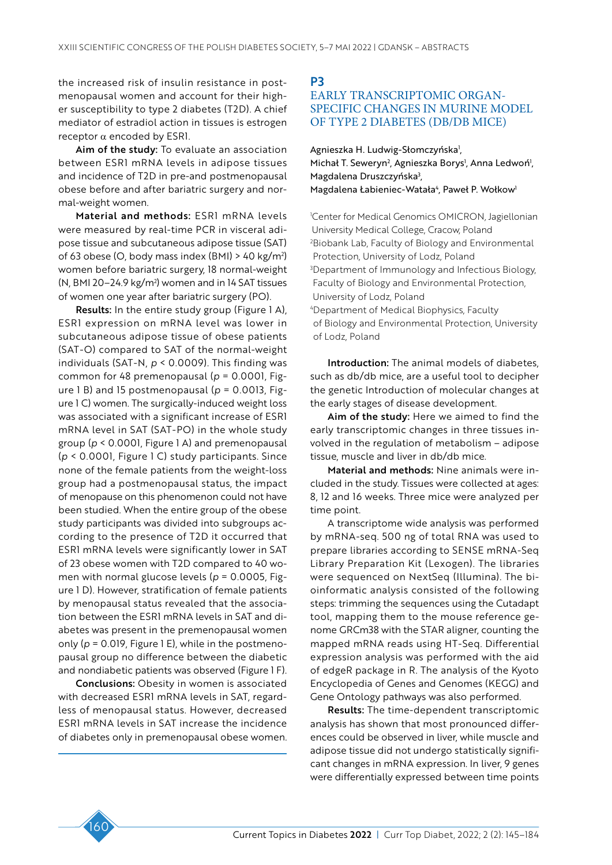the increased risk of insulin resistance in postmenopausal women and account for their higher susceptibility to type 2 diabetes (T2D). A chief mediator of estradiol action in tissues is estrogen receptor α encoded by ESR1.

Aim of the study: To evaluate an association between ESR1 mRNA levels in adipose tissues and incidence of T2D in pre-and postmenopausal obese before and after bariatric surgery and normal-weight women.

Material and methods: ESR1 mRNA levels were measured by real-time PCR in visceral adipose tissue and subcutaneous adipose tissue (SAT) of 63 obese (O, body mass index (BMI) > 40 kg/m2 ) women before bariatric surgery, 18 normal-weight (N, BMI 20–24.9 kg/m2 ) women and in 14 SAT tissues of women one year after bariatric surgery (PO).

Results: In the entire study group (Figure 1 A), ESR1 expression on mRNA level was lower in subcutaneous adipose tissue of obese patients (SAT-O) compared to SAT of the normal-weight individuals (SAT-N, *p* < 0.0009). This finding was common for 48 premenopausal (*p* = 0.0001, Figure 1 B) and 15 postmenopausal (*p* = 0.0013, Figure 1 C) women. The surgically-induced weight loss was associated with a significant increase of ESR1 mRNA level in SAT (SAT-PO) in the whole study group (*p* < 0.0001, Figure 1 A) and premenopausal (*p* < 0.0001, Figure 1 C) study participants. Since none of the female patients from the weight-loss group had a postmenopausal status, the impact of menopause on this phenomenon could not have been studied. When the entire group of the obese study participants was divided into subgroups according to the presence of T2D it occurred that ESR1 mRNA levels were significantly lower in SAT of 23 obese women with T2D compared to 40 women with normal glucose levels (*p* = 0.0005, Figure 1 D). However, stratification of female patients by menopausal status revealed that the association between the ESR1 mRNA levels in SAT and diabetes was present in the premenopausal women only (*p* = 0.019, Figure 1 E), while in the postmenopausal group no difference between the diabetic and nondiabetic patients was observed (Figure 1 F).

Conclusions: Obesity in women is associated with decreased ESR1 mRNA levels in SAT, regardless of menopausal status. However, decreased ESR1 mRNA levels in SAT increase the incidence of diabetes only in premenopausal obese women.

# P3 EARLY TRANSCRIPTOMIC ORGAN-SPECIFIC CHANGES IN MURINE MODEL OF TYPE 2 DIABETES (DB/DB MICE)

Agnieszka H. Ludwig-Słomczyńska<sup>1</sup>, Michał T. Seweryn<sup>2</sup>, Agnieszka Borys<sup>1</sup>, Anna Ledwoń<sup>1</sup>, Magdalena Druszczyńska3 , Magdalena Łabieniec-Watała<sup>4</sup>, Paweł P. Wołkow<sup>1</sup>

1 Center for Medical Genomics OMICRON, Jagiellonian University Medical College, Cracow, Poland 2 Biobank Lab, Faculty of Biology and Environmental Protection, University of Lodz, Poland 3 Department of Immunology and Infectious Biology, Faculty of Biology and Environmental Protection, University of Lodz, Poland 4 Department of Medical Biophysics, Faculty of Biology and Environmental Protection, University

Introduction: The animal models of diabetes, such as db/db mice, are a useful tool to decipher the genetic Introduction of molecular changes at

the early stages of disease development.

of Lodz, Poland

Aim of the study: Here we aimed to find the early transcriptomic changes in three tissues involved in the regulation of metabolism – adipose tissue, muscle and liver in db/db mice.

Material and methods: Nine animals were included in the study. Tissues were collected at ages: 8, 12 and 16 weeks. Three mice were analyzed per time point.

A transcriptome wide analysis was performed by mRNA-seq. 500 ng of total RNA was used to prepare libraries according to SENSE mRNA-Seq Library Preparation Kit (Lexogen). The libraries were sequenced on NextSeq (Illumina). The bioinformatic analysis consisted of the following steps: trimming the sequences using the Cutadapt tool, mapping them to the mouse reference genome GRCm38 with the STAR aligner, counting the mapped mRNA reads using HT-Seq. Differential expression analysis was performed with the aid of edgeR package in R. The analysis of the Kyoto Encyclopedia of Genes and Genomes (KEGG) and Gene Ontology pathways was also performed.

Results: The time-dependent transcriptomic analysis has shown that most pronounced differences could be observed in liver, while muscle and adipose tissue did not undergo statistically significant changes in mRNA expression. In liver, 9 genes were differentially expressed between time points

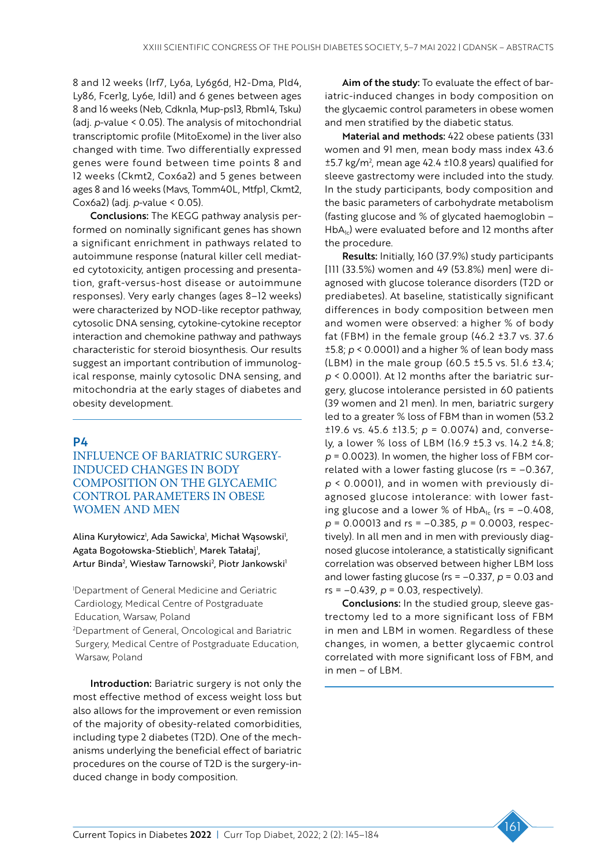8 and 12 weeks (Irf7, Ly6a, Ly6g6d, H2-Dma, Pld4, Ly86, Fcer1g, Ly6e, Idi1) and 6 genes between ages 8 and 16 weeks (Neb, Cdkn1a, Mup-ps13, Rbm14, Tsku) (adj. *p*-value < 0.05). The analysis of mitochondrial transcriptomic profile (MitoExome) in the liver also changed with time. Two differentially expressed genes were found between time points 8 and 12 weeks (Ckmt2, Cox6a2) and 5 genes between ages 8 and 16 weeks (Mavs, Tomm40L, Mtfp1, Ckmt2, Cox6a2) (adj. *p*-value < 0.05).

Conclusions: The KEGG pathway analysis performed on nominally significant genes has shown a significant enrichment in pathways related to autoimmune response (natural killer cell mediated cytotoxicity, antigen processing and presentation, graft-versus-host disease or autoimmune responses). Very early changes (ages 8–12 weeks) were characterized by NOD-like receptor pathway, cytosolic DNA sensing, cytokine-cytokine receptor interaction and chemokine pathway and pathways characteristic for steroid biosynthesis. Our results suggest an important contribution of immunological response, mainly cytosolic DNA sensing, and mitochondria at the early stages of diabetes and obesity development.

### P4

INFLUENCE OF BARIATRIC SURGERY-INDUCED CHANGES IN BODY COMPOSITION ON THE GLYCAEMIC CONTROL PARAMETERS IN OBESE WOMEN AND MEN

Alina Kuryłowicz<sup>i</sup>, Ada Sawicka<sup>i</sup>, Michał Wąsowski<sup>i</sup>, Agata Bogołowska-Stieblich<sup>,</sup> Marek Tałałaj<sup>1</sup>, Artur Binda<sup>2</sup>, Wiesław Tarnowski<sup>2</sup>, Piotr Jankowski<sup>1</sup>

1 Department of General Medicine and Geriatric Cardiology, Medical Centre of Postgraduate Education, Warsaw, Poland

2 Department of General, Oncological and Bariatric Surgery, Medical Centre of Postgraduate Education, Warsaw, Poland

Introduction: Bariatric surgery is not only the most effective method of excess weight loss but also allows for the improvement or even remission of the majority of obesity-related comorbidities, including type 2 diabetes (T2D). One of the mechanisms underlying the beneficial effect of bariatric procedures on the course of T2D is the surgery-induced change in body composition.

Aim of the study: To evaluate the effect of bariatric-induced changes in body composition on the glycaemic control parameters in obese women and men stratified by the diabetic status.

Material and methods: 422 obese patients (331 women and 91 men, mean body mass index 43.6  $\pm$ 5.7 kg/m<sup>2</sup>, mean age 42.4  $\pm$ 10.8 years) qualified for sleeve gastrectomy were included into the study. In the study participants, body composition and the basic parameters of carbohydrate metabolism (fasting glucose and % of glycated haemoglobin –  $HbA_{1c}$ ) were evaluated before and 12 months after the procedure.

Results: Initially, 160 (37.9%) study participants [111 (33.5%) women and 49 (53.8%) men] were diagnosed with glucose tolerance disorders (T2D or prediabetes). At baseline, statistically significant differences in body composition between men and women were observed: a higher % of body fat (FBM) in the female group  $(46.2 \pm 3.7 \text{ vs. } 37.6)$ ±5.8; *p* < 0.0001) and a higher % of lean body mass (LBM) in the male group  $(60.5 \pm 5.5 \text{ vs. } 51.6 \pm 3.4)$ ; *p* < 0.0001). At 12 months after the bariatric surgery, glucose intolerance persisted in 60 patients (39 women and 21 men). In men, bariatric surgery led to a greater % loss of FBM than in women (53.2 ±19.6 vs. 45.6 ±13.5; *p* = 0.0074) and, conversely, a lower % loss of LBM (16.9 ±5.3 vs. 14.2 ±4.8; *p* = 0.0023). In women, the higher loss of FBM correlated with a lower fasting glucose ( $rs = -0.367$ , *p* < 0.0001), and in women with previously diagnosed glucose intolerance: with lower fasting glucose and a lower % of  $HbA_{1c}$  (rs = -0.408, *p* = 0.00013 and rs = –0.385, *p* = 0.0003, respectively). In all men and in men with previously diagnosed glucose intolerance, a statistically significant correlation was observed between higher LBM loss and lower fasting glucose (rs = –0.337, *p* = 0.03 and rs = –0.439, *p* = 0.03, respectively).

Conclusions: In the studied group, sleeve gastrectomy led to a more significant loss of FBM in men and LBM in women. Regardless of these changes, in women, a better glycaemic control correlated with more significant loss of FBM, and in men – of LBM.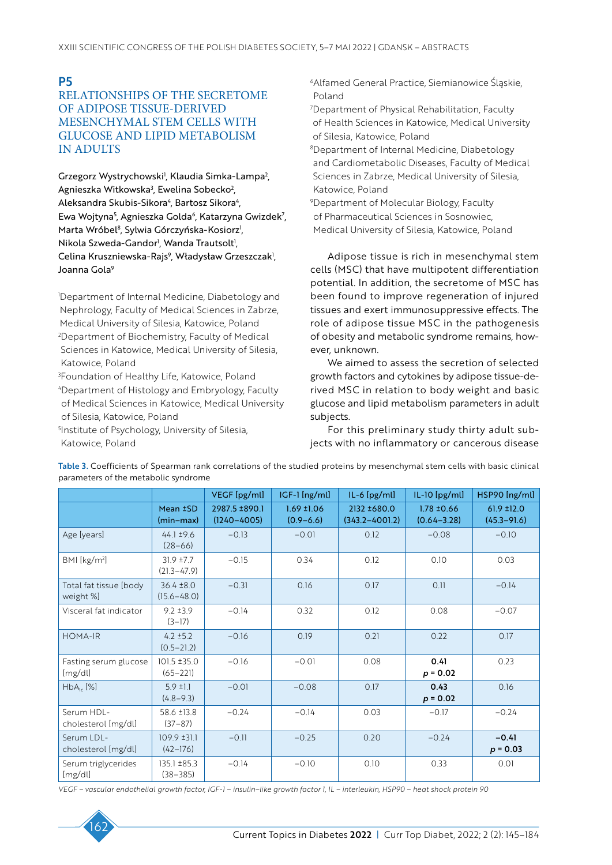P5

# RELATIONSHIPS OF THE SECRETOME OF ADIPOSE TISSUE-DERIVED MESENCHYMAL STEM CELLS WITH GLUCOSE AND LIPID METABOLISM IN ADULTS

Grzegorz Wystrychowski<sup>1</sup>, Klaudia Simka-Lampa<sup>2</sup>, Agnieszka Witkowska<sup>3</sup>, Ewelina Sobecko<sup>2</sup>, Aleksandra Skubis-Sikora<sup>4</sup>, Bartosz Sikora<sup>4</sup>, Ewa Wojtyna<sup>5</sup>, Agnieszka Golda<sup>6</sup>, Katarzyna Gwizdek<sup>7</sup>, Marta Wróbel<sup>8</sup>, Sylwia Górczyńska-Kosiorz<sup>i</sup>, Nikola Szweda-Gandor<sup>ı</sup>, Wanda Trautsolt<sup>ı</sup>, Celina Kruszniewska-Rajs<sup>9</sup>, Władysław Grzeszczak<sup>1</sup>, Joanna Gola<sup>9</sup>

1 Department of Internal Medicine, Diabetology and Nephrology, Faculty of Medical Sciences in Zabrze, Medical University of Silesia, Katowice, Poland 2 Department of Biochemistry, Faculty of Medical Sciences in Katowice, Medical University of Silesia, Katowice, Poland

3 Foundation of Healthy Life, Katowice, Poland 4 Department of Histology and Embryology, Faculty of Medical Sciences in Katowice, Medical University of Silesia, Katowice, Poland

5 Institute of Psychology, University of Silesia, Katowice, Poland

6Alfamed General Practice, Siemianowice Śląskie, Poland

7 Department of Physical Rehabilitation, Faculty of Health Sciences in Katowice, Medical University of Silesia, Katowice, Poland

8 Department of Internal Medicine, Diabetology and Cardiometabolic Diseases, Faculty of Medical Sciences in Zabrze, Medical University of Silesia, Katowice, Poland

9 Department of Molecular Biology, Faculty of Pharmaceutical Sciences in Sosnowiec, Medical University of Silesia, Katowice, Poland

Adipose tissue is rich in mesenchymal stem cells (MSC) that have multipotent differentiation potential. In addition, the secretome of MSC has been found to improve regeneration of injured tissues and exert immunosuppressive effects. The role of adipose tissue MSC in the pathogenesis of obesity and metabolic syndrome remains, however, unknown.

We aimed to assess the secretion of selected growth factors and cytokines by adipose tissue-derived MSC in relation to body weight and basic glucose and lipid metabolism parameters in adult subjects.

For this preliminary study thirty adult subjects with no inflammatory or cancerous disease

|                                     |                                   | VEGF [pg/ml]                     | IGF-1 [ng/ml]                    | $IL-6$ [pg/ml]                    | IL-10 [pg/ml]                      | HSP90 [ng/ml]                 |
|-------------------------------------|-----------------------------------|----------------------------------|----------------------------------|-----------------------------------|------------------------------------|-------------------------------|
|                                     | Mean ±SD<br>(min-max)             | 2987.5 ±890.1<br>$(1240 - 4005)$ | $1.69 \pm 1.06$<br>$(0.9 - 6.6)$ | 2132 ±680.0<br>$(343.2 - 4001.2)$ | $1.78 \pm 0.66$<br>$(0.64 - 3.28)$ | 61.9 ±12.0<br>$(45.3 - 91.6)$ |
| Age [years]                         | $44.1 \pm 9.6$<br>$(28 - 66)$     | $-0.13$                          | $-0.01$                          | 0.12                              | $-0.08$                            | $-0.10$                       |
| BMI [kg/m <sup>2</sup> ]            | $31.9 + 7.7$<br>$(21.3 - 47.9)$   | $-0.15$                          | 0.34                             | 0.12                              | 0.10                               | 0.03                          |
| Total fat tissue [body<br>weight %] | $36.4 \pm 8.0$<br>$(15.6 - 48.0)$ | $-0.31$                          | 0.16                             | 0.17                              | 0.11                               | $-0.14$                       |
| Visceral fat indicator              | $9.2 \pm 3.9$<br>$(3-17)$         | $-0.14$                          | 0.32                             | 0.12                              | 0.08                               | $-0.07$                       |
| <b>HOMA-IR</b>                      | $4.2 \pm 5.2$<br>$(0.5 - 21.2)$   | $-0.16$                          | 0.19                             | 0.21                              | 0.22                               | 0.17                          |
| Fasting serum glucose<br>[mg/dl]    | 101.5 ±35.0<br>$(65 - 221)$       | $-0.16$                          | $-0.01$                          | 0.08                              | 0.41<br>$p = 0.02$                 | 0.23                          |
| $HbA_{ic}$ [%]                      | $5.9 \pm 1.1$<br>$(4.8 - 9.3)$    | $-0.01$                          | $-0.08$                          | 0.17                              | 0.43<br>$p = 0.02$                 | 0.16                          |
| Serum HDL-<br>cholesterol [mg/dl]   | 58.6 ±13.8<br>$(37-87)$           | $-0.24$                          | $-0.14$                          | 0.03                              | $-0.17$                            | $-0.24$                       |
| Serum LDL-<br>cholesterol [mg/dl]   | $109.9 \pm 31.1$<br>$(42-176)$    | $-0.11$                          | $-0.25$                          | 0.20                              | $-0.24$                            | $-0.41$<br>$p = 0.03$         |
| Serum triglycerides<br>[mg/dl]      | 135.1 ±85.3<br>$(38 - 385)$       | $-0.14$                          | $-0.10$                          | 0.10                              | 0.33                               | 0.01                          |

Table 3. Coefficients of Spearman rank correlations of the studied proteins by mesenchymal stem cells with basic clinical parameters of the metabolic syndrome

*VEGF – vascular endothelial growth factor, IGF-1 – insulin–like growth factor 1, IL – interleukin, HSP90 – heat shock protein 90*

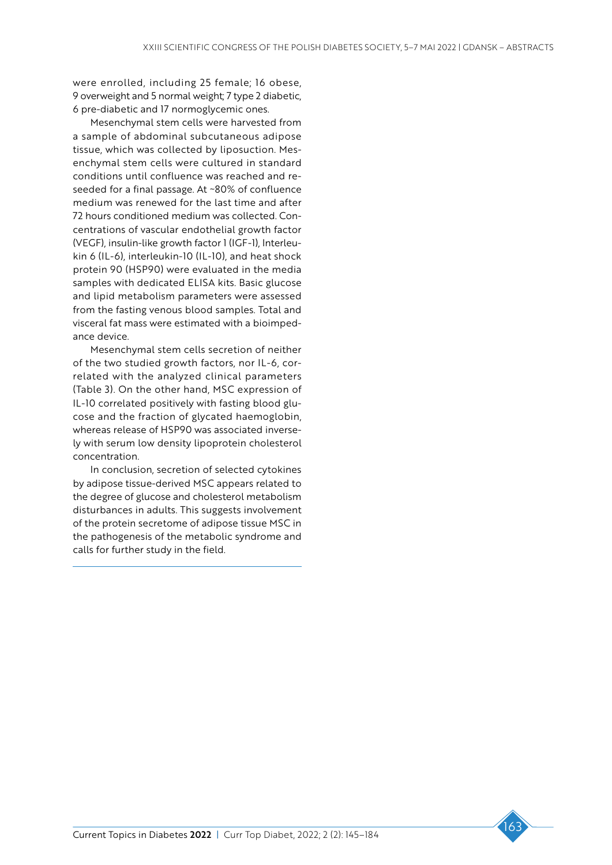were enrolled, including 25 female; 16 obese, 9 overweight and 5 normal weight; 7 type 2 diabetic, 6 pre-diabetic and 17 normoglycemic ones.

Mesenchymal stem cells were harvested from a sample of abdominal subcutaneous adipose tissue, which was collected by liposuction. Mesenchymal stem cells were cultured in standard conditions until confluence was reached and reseeded for a final passage. At ~80% of confluence medium was renewed for the last time and after 72 hours conditioned medium was collected. Concentrations of vascular endothelial growth factor (VEGF), insulin-like growth factor 1 (IGF-1), Interleukin 6 (IL-6), interleukin-10 (IL-10), and heat shock protein 90 (HSP90) were evaluated in the media samples with dedicated ELISA kits. Basic glucose and lipid metabolism parameters were assessed from the fasting venous blood samples. Total and visceral fat mass were estimated with a bioimpedance device.

Mesenchymal stem cells secretion of neither of the two studied growth factors, nor IL-6, correlated with the analyzed clinical parameters (Table 3). On the other hand, MSC expression of IL-10 correlated positively with fasting blood glucose and the fraction of glycated haemoglobin, whereas release of HSP90 was associated inversely with serum low density lipoprotein cholesterol concentration.

In conclusion, secretion of selected cytokines by adipose tissue-derived MSC appears related to the degree of glucose and cholesterol metabolism disturbances in adults. This suggests involvement of the protein secretome of adipose tissue MSC in the pathogenesis of the metabolic syndrome and calls for further study in the field.

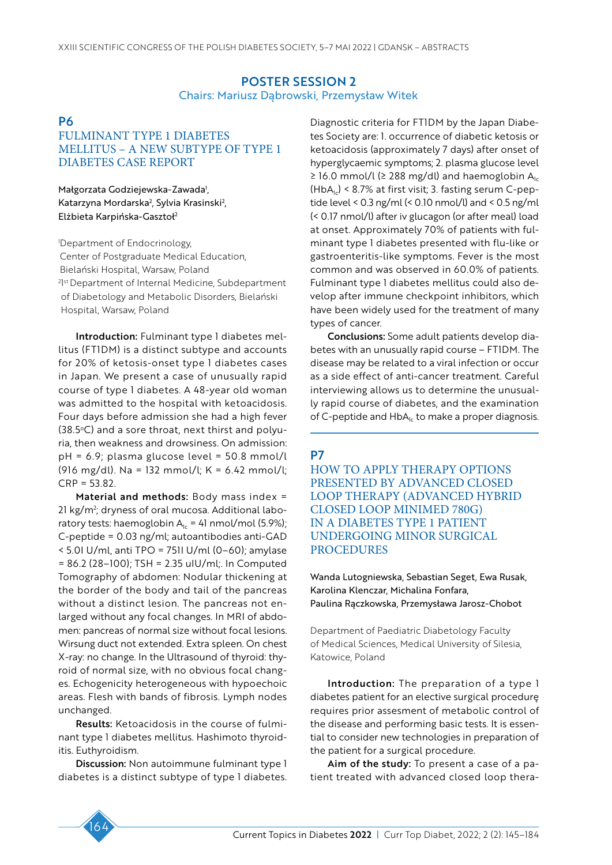# POSTER SESSION 2 Chairs: Mariusz Dąbrowski, Przemysław Witek

# **P6**

# FULMINANT TYPE 1 DIABETES MELLITUS – A NEW SUBTYPE OF TYPE 1 DIABETES CASE REPORT

Małgorzata Godziejewska-Zawada<sup>1</sup>, Katarzyna Mordarska<sup>2</sup>, Sylvia Krasinski<sup>2</sup>, Elżbieta Karpińska-Gasztoł2

1 Department of Endocrinology, Center of Postgraduate Medical Education, Bielański Hospital, Warsaw, Poland <sup>2</sup>I<sup>st</sup> Department of Internal Medicine, Subdepartment of Diabetology and Metabolic Disorders, Bielański Hospital, Warsaw, Poland

Introduction: Fulminant type 1 diabetes mellitus (FT1DM) is a distinct subtype and accounts for 20% of ketosis-onset type 1 diabetes cases in Japan. We present a case of unusually rapid course of type 1 diabetes. A 48-year old woman was admitted to the hospital with ketoacidosis. Four days before admission she had a high fever  $(38.5°C)$  and a sore throat, next thirst and polyuria, then weakness and drowsiness. On admission: pH = 6.9; plasma glucose level = 50.8 mmol/l (916 mg/dl). Na = 132 mmol/l; K = 6.42 mmol/l;  $CRP = 53.82.$ 

Material and methods: Body mass index = 21 kg/m²; dryness of oral mucosa. Additional laboratory tests: haemoglobin  $A<sub>1c</sub> = 41$  nmol/mol (5.9%); C-peptide = 0.03 ng/ml; autoantibodies anti-GAD  $<$  5.0I U/ml, anti TPO = 75II U/ml (0–60); amylase = 86.2 (28–100); TSH = 2.35 uIU/ml;. In Computed Tomography of abdomen: Nodular thickening at the border of the body and tail of the pancreas without a distinct lesion. The pancreas not enlarged without any focal changes. In MRI of abdomen: pancreas of normal size without focal lesions. Wirsung duct not extended. Extra spleen. On chest X-ray: no change. In the Ultrasound of thyroid: thyroid of normal size, with no obvious focal changes. Echogenicity heterogeneous with hypoechoic areas. Flesh with bands of fibrosis. Lymph nodes unchanged.

Results: Ketoacidosis in the course of fulminant type 1 diabetes mellitus. Hashimoto thyroiditis. Euthyroidism.

Discussion: Non autoimmune fulminant type 1 diabetes is a distinct subtype of type 1 diabetes. Diagnostic criteria for FT1DM by the Japan Diabetes Society are: 1. occurrence of diabetic ketosis or ketoacidosis (approximately 7 days) after onset of hyperglycaemic symptoms; 2. plasma glucose level ≥ 16.0 mmol/l (≥ 288 mg/dl) and haemoglobin  $A<sub>1c</sub>$  $(HbA<sub>1c</sub>)$  < 8.7% at first visit; 3. fasting serum C-peptide level < 0.3 ng/ml (< 0.10 nmol/l) and < 0.5 ng/ml (< 0.17 nmol/l) after iv glucagon (or after meal) load at onset. Approximately 70% of patients with fulminant type 1 diabetes presented with flu-like or gastroenteritis-like symptoms. Fever is the most common and was observed in 60.0% of patients. Fulminant type 1 diabetes mellitus could also develop after immune checkpoint inhibitors, which have been widely used for the treatment of many types of cancer.

Conclusions: Some adult patients develop diabetes with an unusually rapid course – FT1DM. The disease may be related to a viral infection or occur as a side effect of anti-cancer treatment. Careful interviewing allows us to determine the unusually rapid course of diabetes, and the examination of C-peptide and  $HbA<sub>1c</sub>$  to make a proper diagnosis.

#### P7

HOW TO APPLY THERAPY OPTIONS PRESENTED BY ADVANCED CLOSED LOOP THERAPY (ADVANCED HYBRID CLOSED LOOP MINIMED 780G) IN A DIABETES TYPE 1 PATIENT UNDERGOING MINOR SURGICAL **PROCEDURES** 

Wanda Lutogniewska, Sebastian Seget, Ewa Rusak, Karolina Klenczar, Michalina Fonfara, Paulina Rączkowska, Przemysława Jarosz-Chobot

Department of Paediatric Diabetology Faculty of Medical Sciences, Medical University of Silesia, Katowice, Poland

Introduction: The preparation of a type I diabetes patient for an elective surgical procedurę requires prior assesment of metabolic control of the disease and performing basic tests. It is essential to consider new technologies in preparation of the patient for a surgical procedure.

Aim of the study: To present a case of a patient treated with advanced closed loop thera-

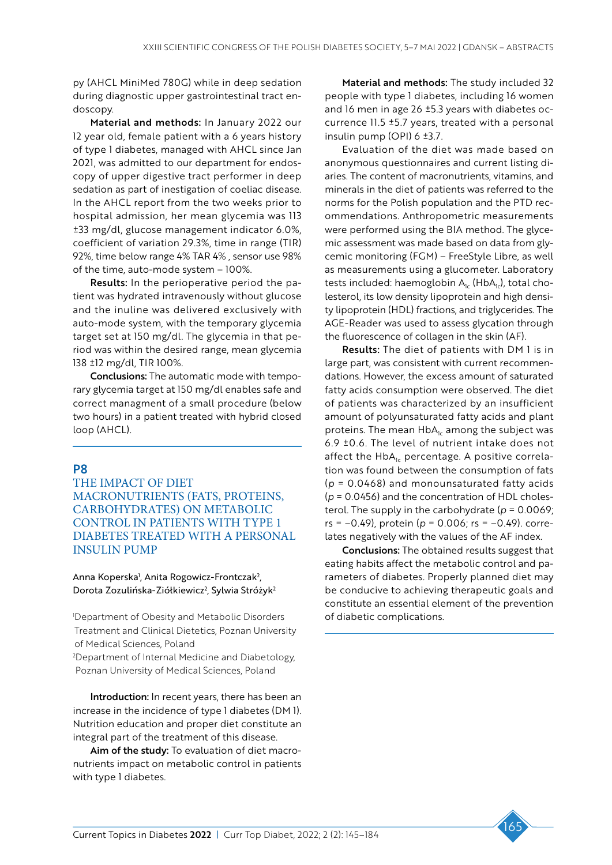py (AHCL MiniMed 780G) while in deep sedation during diagnostic upper gastrointestinal tract endoscopy.

Material and methods: In January 2022 our 12 year old, female patient with a 6 years history of type 1 diabetes, managed with AHCL since Jan 2021, was admitted to our department for endoscopy of upper digestive tract performer in deep sedation as part of inestigation of coeliac disease. In the AHCL report from the two weeks prior to hospital admission, her mean glycemia was 113 ±33 mg/dl, glucose management indicator 6.0%, coefficient of variation 29.3%, time in range (TIR) 92%, time below range 4% TAR 4% , sensor use 98% of the time, auto-mode system – 100%.

Results: In the perioperative period the patient was hydrated intravenously without glucose and the inuline was delivered exclusively with auto-mode system, with the temporary glycemia target set at 150 mg/dl. The glycemia in that period was within the desired range, mean glycemia 138 ±12 mg/dl, TIR 100%.

Conclusions: The automatic mode with temporary glycemia target at 150 mg/dl enables safe and correct managment of a small procedure (below two hours) in a patient treated with hybrid closed loop (AHCL).

# P8

THE IMPACT OF DIET MACRONUTRIENTS (FATS, PROTEINS, CARBOHYDRATES) ON METABOLIC CONTROL IN PATIENTS WITH TYPE 1 DIABETES TREATED WITH A PERSONAL INSULIN PUMP

#### Anna Koperska<sup>1</sup>, Anita Rogowicz-Frontczak<sup>2</sup>, Dorota Zozulińska-Ziółkiewicz<sup>2</sup>, Sylwia Stróżyk<sup>2</sup>

1 Department of Obesity and Metabolic Disorders Treatment and Clinical Dietetics, Poznan University of Medical Sciences, Poland

2 Department of Internal Medicine and Diabetology, Poznan University of Medical Sciences, Poland

Introduction: In recent years, there has been an increase in the incidence of type 1 diabetes (DM 1). Nutrition education and proper diet constitute an integral part of the treatment of this disease.

Aim of the study: To evaluation of diet macronutrients impact on metabolic control in patients with type 1 diabetes.

Material and methods: The study included 32 people with type 1 diabetes, including 16 women and 16 men in age 26 ±5.3 years with diabetes occurrence 11.5 ±5.7 years, treated with a personal insulin pump (OPI) 6 ±3.7.

Evaluation of the diet was made based on anonymous questionnaires and current listing diaries. The content of macronutrients, vitamins, and minerals in the diet of patients was referred to the norms for the Polish population and the PTD recommendations. Anthropometric measurements were performed using the BIA method. The glycemic assessment was made based on data from glycemic monitoring (FGM) – FreeStyle Libre, as well as measurements using a glucometer. Laboratory tests included: haemoglobin  $A_{1c}$  (Hb $A_{1c}$ ), total cholesterol, its low density lipoprotein and high density lipoprotein (HDL) fractions, and triglycerides. The AGE-Reader was used to assess glycation through the fluorescence of collagen in the skin (AF).

Results: The diet of patients with DM 1 is in large part, was consistent with current recommendations. However, the excess amount of saturated fatty acids consumption were observed. The diet of patients was characterized by an insufficient amount of polyunsaturated fatty acids and plant proteins. The mean  $HbA_{1c}$  among the subject was 6.9 ±0.6. The level of nutrient intake does not affect the  $HbA_{1c}$  percentage. A positive correlation was found between the consumption of fats (*p* = 0.0468) and monounsaturated fatty acids (*p* = 0.0456) and the concentration of HDL cholesterol. The supply in the carbohydrate (*p* = 0.0069; rs = –0.49), protein (*p* = 0.006; rs = –0.49). correlates negatively with the values of the AF index.

Conclusions: The obtained results suggest that eating habits affect the metabolic control and parameters of diabetes. Properly planned diet may be conducive to achieving therapeutic goals and constitute an essential element of the prevention of diabetic complications.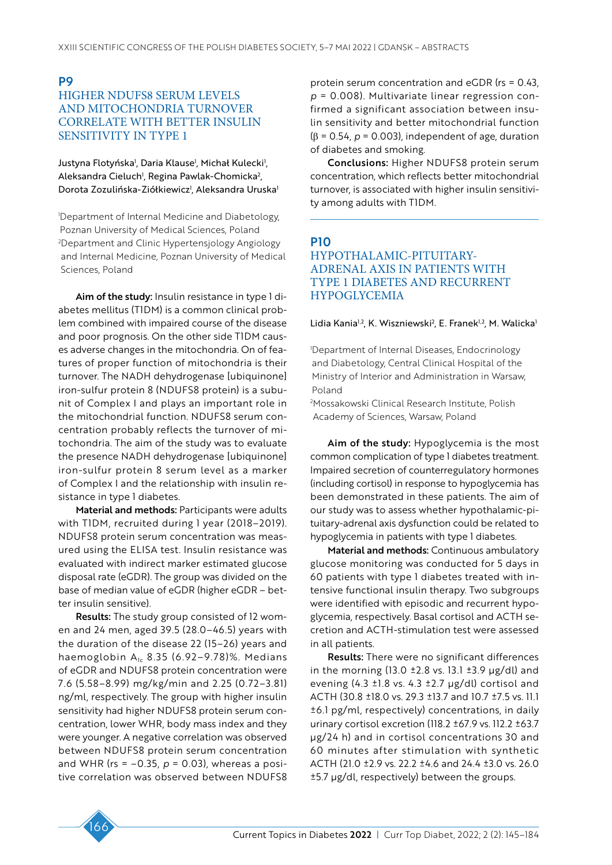# P9 HIGHER NDUFS8 SERUM LEVELS AND MITOCHONDRIA TURNOVER CORRELATE WITH BETTER INSULIN SENSITIVITY IN TYPE 1

Justyna Flotyńska', Daria Klause', Michał Kulecki', Aleksandra Cieluch<sup>1</sup>, Regina Pawlak-Chomicka<sup>2</sup>, Dorota Zozulińska-Ziółkiewicz<sup>i</sup>, Aleksandra Uruska<sup>i</sup>

1 Department of Internal Medicine and Diabetology, Poznan University of Medical Sciences, Poland 2 Department and Clinic Hypertensjology Angiology and Internal Medicine, Poznan University of Medical Sciences, Poland

Aim of the study: Insulin resistance in type I diabetes mellitus (T1DM) is a common clinical problem combined with impaired course of the disease and poor prognosis. On the other side T1DM causes adverse changes in the mitochondria. On of features of proper function of mitochondria is their turnover. The NADH dehydrogenase [ubiquinone] iron-sulfur protein 8 (NDUFS8 protein) is a subunit of Complex I and plays an important role in the mitochondrial function. NDUFS8 serum concentration probably reflects the turnover of mitochondria. The aim of the study was to evaluate the presence NADH dehydrogenase [ubiquinone] iron-sulfur protein 8 serum level as a marker of Complex I and the relationship with insulin resistance in type 1 diabetes.

Material and methods: Participants were adults with T1DM, recruited during 1 year (2018–2019). NDUFS8 protein serum concentration was measured using the ELISA test. Insulin resistance was evaluated with indirect marker estimated glucose disposal rate (eGDR). The group was divided on the base of median value of eGDR (higher eGDR – better insulin sensitive).

Results: The study group consisted of 12 women and 24 men, aged 39.5 (28.0–46.5) years with the duration of the disease 22 (15–26) years and haemoglobin  $A<sub>1c</sub>$  8.35 (6.92–9.78)%. Medians of eGDR and NDUFS8 protein concentration were 7.6 (5.58–8.99) mg/kg/min and 2.25 (0.72–3.81) ng/ml, respectively. The group with higher insulin sensitivity had higher NDUFS8 protein serum concentration, lower WHR, body mass index and they were younger. A negative correlation was observed between NDUFS8 protein serum concentration and WHR ( $rs = -0.35$ ,  $p = 0.03$ ), whereas a positive correlation was observed between NDUFS8 protein serum concentration and eGDR (rs = 0.43, *p* = 0.008). Multivariate linear regression confirmed a significant association between insulin sensitivity and better mitochondrial function (β = 0.54, *p* = 0.003), independent of age, duration of diabetes and smoking.

Conclusions: Higher NDUFS8 protein serum concentration, which reflects better mitochondrial turnover, is associated with higher insulin sensitivity among adults with T1DM.

# P10

# HYPOTHALAMIC-PITUITARY-ADRENAL AXIS IN PATIENTS WITH TYPE 1 DIABETES AND RECURRENT HYPOGLYCEMIA

#### Lidia Kania<sup>1,2</sup>, K. Wiszniewski<sup>2</sup>, E. Franek<sup>1,2</sup>, M. Walicka<sup>1</sup>

1 Department of Internal Diseases, Endocrinology and Diabetology, Central Clinical Hospital of the Ministry of Interior and Administration in Warsaw, Poland

2 Mossakowski Clinical Research Institute, Polish Academy of Sciences, Warsaw, Poland

Aim of the study: Hypoglycemia is the most common complication of type 1 diabetes treatment. Impaired secretion of counterregulatory hormones (including cortisol) in response to hypoglycemia has been demonstrated in these patients. The aim of our study was to assess whether hypothalamic-pituitary-adrenal axis dysfunction could be related to hypoglycemia in patients with type 1 diabetes.

Material and methods: Continuous ambulatory glucose monitoring was conducted for 5 days in 60 patients with type 1 diabetes treated with intensive functional insulin therapy. Two subgroups were identified with episodic and recurrent hypoglycemia, respectively. Basal cortisol and ACTH secretion and ACTH-stimulation test were assessed in all patients.

Results: There were no significant differences in the morning (13.0  $\pm$ 2.8 vs. 13.1  $\pm$ 3.9  $\mu$ g/dl) and evening  $(4.3 \pm 1.8 \text{ vs. } 4.3 \pm 2.7 \text{ µg/dl})$  cortisol and ACTH (30.8 ±18.0 vs. 29.3 ±13.7 and 10.7 ±7.5 vs. 11.1 ±6.1 pg/ml, respectively) concentrations, in daily urinary cortisol excretion (118.2 ±67.9 vs. 112.2 ±63.7 µg/24 h) and in cortisol concentrations 30 and 60 minutes after stimulation with synthetic ACTH (21.0 ±2.9 vs. 22.2 ±4.6 and 24.4 ±3.0 vs. 26.0 ±5.7 µg/dl, respectively) between the groups.

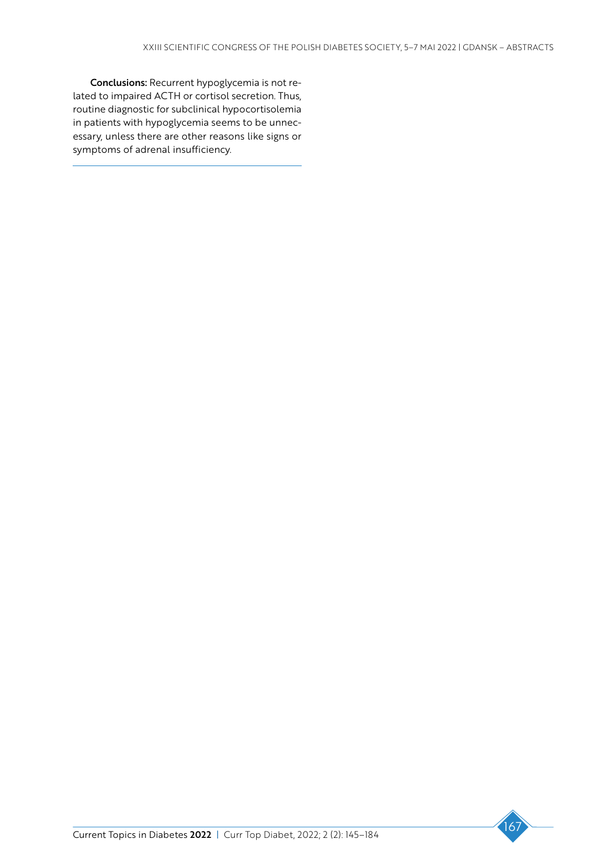Conclusions: Recurrent hypoglycemia is not related to impaired ACTH or cortisol secretion. Thus, routine diagnostic for subclinical hypocortisolemia in patients with hypoglycemia seems to be unnecessary, unless there are other reasons like signs or symptoms of adrenal insufficiency.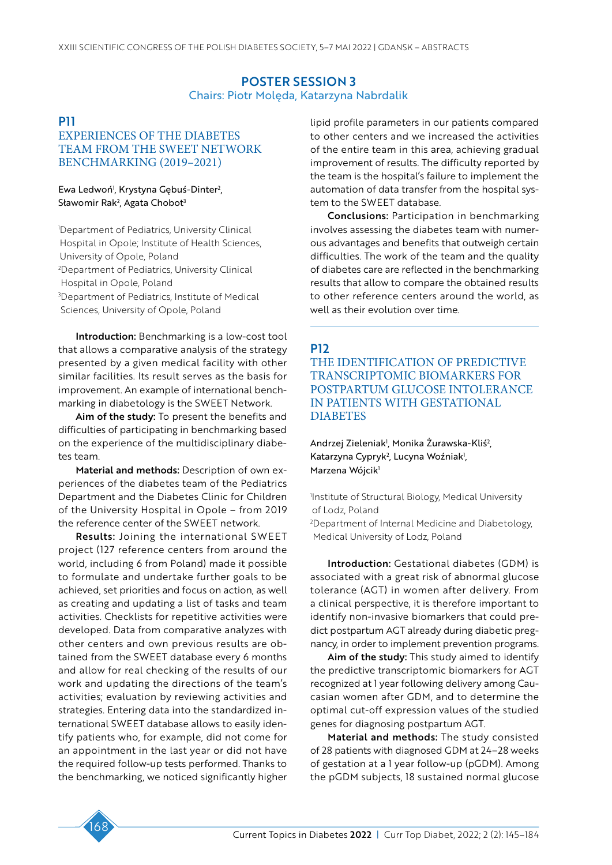### POSTER SESSION 3 Chairs: Piotr Molęda, Katarzyna Nabrdalik

# P11

# EXPERIENCES OF THE DIABETES TEAM FROM THE SWEET NETWORK BENCHMARKING (2019–2021)

#### Ewa Ledwoń', Krystyna Gębuś-Dinter<sup>2</sup>, Sławomir Rak<sup>2</sup>, Agata Chobot<sup>3</sup>

1 Department of Pediatrics, University Clinical Hospital in Opole; Institute of Health Sciences, University of Opole, Poland 2 Department of Pediatrics, University Clinical Hospital in Opole, Poland 3 Department of Pediatrics, Institute of Medical Sciences, University of Opole, Poland

Introduction: Benchmarking is a low-cost tool that allows a comparative analysis of the strategy presented by a given medical facility with other similar facilities. Its result serves as the basis for improvement. An example of international benchmarking in diabetology is the SWEET Network.

Aim of the study: To present the benefits and difficulties of participating in benchmarking based on the experience of the multidisciplinary diabetes team.

Material and methods: Description of own experiences of the diabetes team of the Pediatrics Department and the Diabetes Clinic for Children of the University Hospital in Opole – from 2019 the reference center of the SWEET network.

Results: Joining the international SWEET project (127 reference centers from around the world, including 6 from Poland) made it possible to formulate and undertake further goals to be achieved, set priorities and focus on action, as well as creating and updating a list of tasks and team activities. Checklists for repetitive activities were developed. Data from comparative analyzes with other centers and own previous results are obtained from the SWEET database every 6 months and allow for real checking of the results of our work and updating the directions of the team's activities; evaluation by reviewing activities and strategies. Entering data into the standardized international SWEET database allows to easily identify patients who, for example, did not come for an appointment in the last year or did not have the required follow-up tests performed. Thanks to the benchmarking, we noticed significantly higher lipid profile parameters in our patients compared to other centers and we increased the activities of the entire team in this area, achieving gradual improvement of results. The difficulty reported by the team is the hospital's failure to implement the automation of data transfer from the hospital system to the SWEET database.

Conclusions: Participation in benchmarking involves assessing the diabetes team with numerous advantages and benefits that outweigh certain difficulties. The work of the team and the quality of diabetes care are reflected in the benchmarking results that allow to compare the obtained results to other reference centers around the world, as well as their evolution over time.

# P12

THE IDENTIFICATION OF PREDICTIVE TRANSCRIPTOMIC BIOMARKERS FOR POSTPARTUM GLUCOSE INTOLERANCE IN PATIENTS WITH GESTATIONAL **DIABETES** 

Andrzej Zieleniak<sup>i</sup>, Monika Zurawska-Kliś<sup>2</sup>, Katarzyna Cypryk<sup>2</sup>, Lucyna Woźniak<sup>1</sup>, Marzena Wójcik<sup>1</sup>

1 Institute of Structural Biology, Medical University of Lodz, Poland

2 Department of Internal Medicine and Diabetology, Medical University of Lodz, Poland

Introduction: Gestational diabetes (GDM) is associated with a great risk of abnormal glucose tolerance (AGT) in women after delivery. From a clinical perspective, it is therefore important to identify non-invasive biomarkers that could predict postpartum AGT already during diabetic pregnancy, in order to implement prevention programs.

Aim of the study: This study aimed to identify the predictive transcriptomic biomarkers for AGT recognized at 1 year following delivery among Caucasian women after GDM, and to determine the optimal cut-off expression values of the studied genes for diagnosing postpartum AGT.

Material and methods: The study consisted of 28 patients with diagnosed GDM at 24–28 weeks of gestation at a 1 year follow-up (pGDM). Among the pGDM subjects, 18 sustained normal glucose

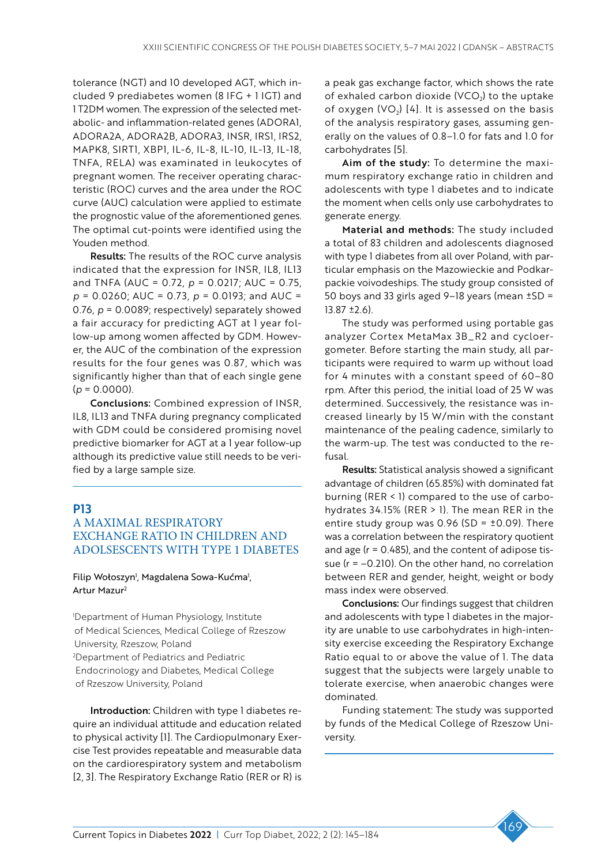tolerance (NGT) and 10 developed AGT, which included 9 prediabetes women (8 IFG + 1 IGT) and 1 T2DM women. The expression of the selected metabolic- and inflammation-related genes (ADORA1, ADORA2A, ADORA2B, ADORA3, INSR, IRS1, IRS2, MAPK8, SIRT1, XBP1, IL-6, IL-8, IL-10, IL-13, IL-18, TNFA, RELA) was examinated in leukocytes of pregnant women. The receiver operating characteristic (ROC) curves and the area under the ROC curve (AUC) calculation were applied to estimate the prognostic value of the aforementioned genes. The optimal cut-points were identified using the Youden method.

Results: The results of the ROC curve analysis indicated that the expression for INSR, IL8, IL13 and TNFA (AUC = 0.72, *p* = 0.0217; AUC = 0.75, *p* = 0.0260; AUC = 0.73, *p* = 0.0193; and AUC = 0.76, *p* = 0.0089; respectively) separately showed a fair accuracy for predicting AGT at 1 year follow-up among women affected by GDM. However, the AUC of the combination of the expression results for the four genes was 0.87, which was significantly higher than that of each single gene  $(p = 0.0000)$ .

Conclusions: Combined expression of INSR, IL8, IL13 and TNFA during pregnancy complicated with GDM could be considered promising novel predictive biomarker for AGT at a 1 year follow-up although its predictive value still needs to be verified by a large sample size.

### P13

# A MAXIMAL RESPIRATORY EXCHANGE RATIO IN CHILDREN AND ADOLSESCENTS WITH TYPE 1 DIABETES

#### Filip Wołoszyn<sup>1</sup>, Magdalena Sowa-Kućma<sup>1</sup>, Artur Mazur2

1 Department of Human Physiology, Institute of Medical Sciences, Medical College of Rzeszow University, Rzeszow, Poland 2 Department of Pediatrics and Pediatric Endocrinology and Diabetes, Medical College of Rzeszow University, Poland

Introduction: Children with type 1 diabetes require an individual attitude and education related to physical activity [1]. The Cardiopulmonary Exercise Test provides repeatable and measurable data on the cardiorespiratory system and metabolism [2, 3]. The Respiratory Exchange Ratio (RER or R) is

a peak gas exchange factor, which shows the rate of exhaled carbon dioxide (VCO<sub>2</sub>) to the uptake of oxygen  $(VO<sub>2</sub>)$  [4]. It is assessed on the basis of the analysis respiratory gases, assuming generally on the values of 0.8–1.0 for fats and 1.0 for carbohydrates [5].

Aim of the study: To determine the maximum respiratory exchange ratio in children and adolescents with type 1 diabetes and to indicate the moment when cells only use carbohydrates to generate energy.

Material and methods: The study included a total of 83 children and adolescents diagnosed with type 1 diabetes from all over Poland, with particular emphasis on the Mazowieckie and Podkarpackie voivodeships. The study group consisted of 50 boys and 33 girls aged 9–18 years (mean  $\pm$ SD = 13.87 ±2.6).

The study was performed using portable gas analyzer Cortex MetaMax 3B\_R2 and cycloergometer. Before starting the main study, all participants were required to warm up without load for 4 minutes with a constant speed of 60–80 rpm. After this period, the initial load of 25 W was determined. Successively, the resistance was increased linearly by 15 W/min with the constant maintenance of the pealing cadence, similarly to the warm-up. The test was conducted to the refusal.

Results: Statistical analysis showed a significant advantage of children (65.85%) with dominated fat burning (RER < 1) compared to the use of carbohydrates 34.15% (RER > 1). The mean RER in the entire study group was  $0.96$  (SD =  $\pm$ 0.09). There was a correlation between the respiratory quotient and age ( $r = 0.485$ ), and the content of adipose tissue ( $r = -0.210$ ). On the other hand, no correlation between RER and gender, height, weight or body mass index were observed.

Conclusions: Our findings suggest that children and adolescents with type 1 diabetes in the majority are unable to use carbohydrates in high-intensity exercise exceeding the Respiratory Exchange Ratio equal to or above the value of 1. The data suggest that the subjects were largely unable to tolerate exercise, when anaerobic changes were dominated.

Funding statement: The study was supported by funds of the Medical College of Rzeszow University.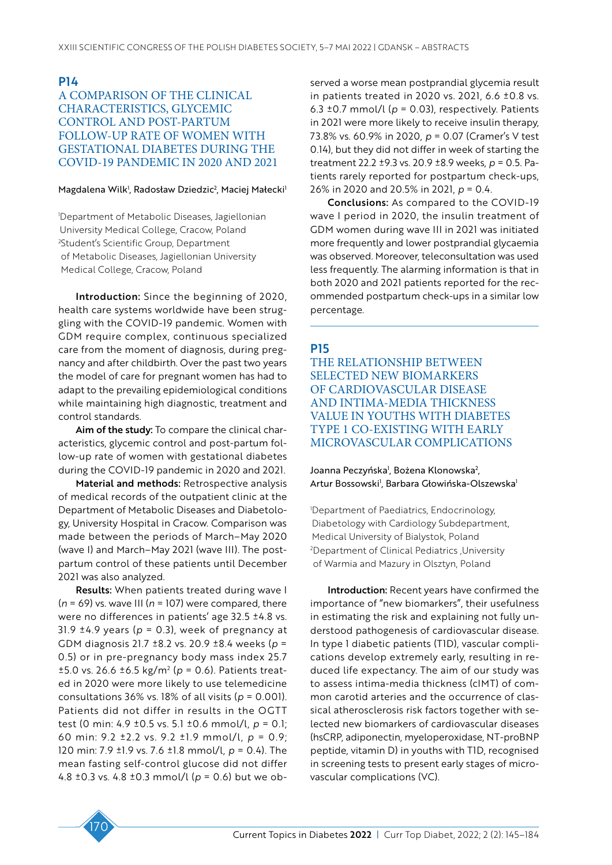# P14 A COMPARISON OF THE CLINICAL CHARACTERISTICS, GLYCEMIC CONTROL AND POST-PARTUM FOLLOW-UP RATE OF WOMEN WITH GESTATIONAL DIABETES DURING THE COVID-19 PANDEMIC IN 2020 AND 2021

#### Magdalena Wilk<sup>ı</sup>, Radosław Dziedzic<sup>2</sup>, Maciej Małecki<sup>ı</sup>

1 Department of Metabolic Diseases, Jagiellonian University Medical College, Cracow, Poland 2 Student's Scientific Group, Department of Metabolic Diseases, Jagiellonian University Medical College, Cracow, Poland

Introduction: Since the beginning of 2020, health care systems worldwide have been struggling with the COVID-19 pandemic. Women with GDM require complex, continuous specialized care from the moment of diagnosis, during pregnancy and after childbirth. Over the past two years the model of care for pregnant women has had to adapt to the prevailing epidemiological conditions while maintaining high diagnostic, treatment and control standards.

Aim of the study: To compare the clinical characteristics, glycemic control and post-partum follow-up rate of women with gestational diabetes during the COVID-19 pandemic in 2020 and 2021.

Material and methods: Retrospective analysis of medical records of the outpatient clinic at the Department of Metabolic Diseases and Diabetology, University Hospital in Cracow. Comparison was made between the periods of March–May 2020 (wave I) and March–May 2021 (wave III). The postpartum control of these patients until December 2021 was also analyzed.

Results: When patients treated during wave I (*n* = 69) vs. wave III (*n* = 107) were compared, there were no differences in patients' age 32.5 ±4.8 vs. 31.9  $\pm$ 4.9 years ( $p = 0.3$ ), week of pregnancy at GDM diagnosis 21.7 ±8.2 vs. 20.9 ±8.4 weeks (*p* = 0.5) or in pre-pregnancy body mass index 25.7 ±5.0 vs. 26.6 ±6.5 kg/m2 (*p* = 0.6). Patients treated in 2020 were more likely to use telemedicine consultations 36% vs. 18% of all visits (*p* = 0.001). Patients did not differ in results in the OGTT test (0 min: 4.9 ±0.5 vs. 5.1 ±0.6 mmol/l, *p* = 0.1; 60 min: 9.2 ±2.2 vs. 9.2 ±1.9 mmol/l, *p* = 0.9; 120 min: 7.9 ±1.9 vs. 7.6 ±1.8 mmol/l, *p* = 0.4). The mean fasting self-control glucose did not differ 4.8 ±0.3 vs. 4.8 ±0.3 mmol/l (*p* = 0.6) but we observed a worse mean postprandial glycemia result in patients treated in 2020 vs. 2021, 6.6 ±0.8 vs. 6.3  $\pm$ 0.7 mmol/l ( $p = 0.03$ ), respectively. Patients in 2021 were more likely to receive insulin therapy, 73.8% vs. 60.9% in 2020, *p* = 0.07 (Cramer's V test 0.14), but they did not differ in week of starting the treatment 22.2 ±9.3 vs. 20.9 ±8.9 weeks, *p* = 0.5. Patients rarely reported for postpartum check-ups, 26% in 2020 and 20.5% in 2021, *p* = 0.4.

Conclusions: As compared to the COVID-19 wave I period in 2020, the insulin treatment of GDM women during wave III in 2021 was initiated more frequently and lower postprandial glycaemia was observed. Moreover, teleconsultation was used less frequently. The alarming information is that in both 2020 and 2021 patients reported for the recommended postpartum check-ups in a similar low percentage.

# P15

THE RELATIONSHIP BETWEEN SELECTED NEW BIOMARKERS OF CARDIOVASCULAR DISEASE AND INTIMA-MEDIA THICKNESS VALUE IN YOUTHS WITH DIABETES TYPE 1 CO-EXISTING WITH EARLY MICROVASCULAR COMPLICATIONS

Joanna Peczyńska<sup>1</sup>, Bożena Klonowska<sup>2</sup>, Artur Bossowski', Barbara Głowińska-Olszewska'

1 Department of Paediatrics, Endocrinology, Diabetology with Cardiology Subdepartment, Medical University of Bialystok, Poland 2 Department of Clinical Pediatrics ,University of Warmia and Mazury in Olsztyn, Poland

Introduction: Recent years have confirmed the importance of "new biomarkers", their usefulness in estimating the risk and explaining not fully understood pathogenesis of cardiovascular disease. In type 1 diabetic patients (T1D), vascular complications develop extremely early, resulting in reduced life expectancy. The aim of our study was to assess intima-media thickness (cIMT) of common carotid arteries and the occurrence of classical atherosclerosis risk factors together with selected new biomarkers of cardiovascular diseases (hsCRP, adiponectin, myeloperoxidase, NT-proBNP peptide, vitamin D) in youths with T1D, recognised in screening tests to present early stages of microvascular complications (VC).

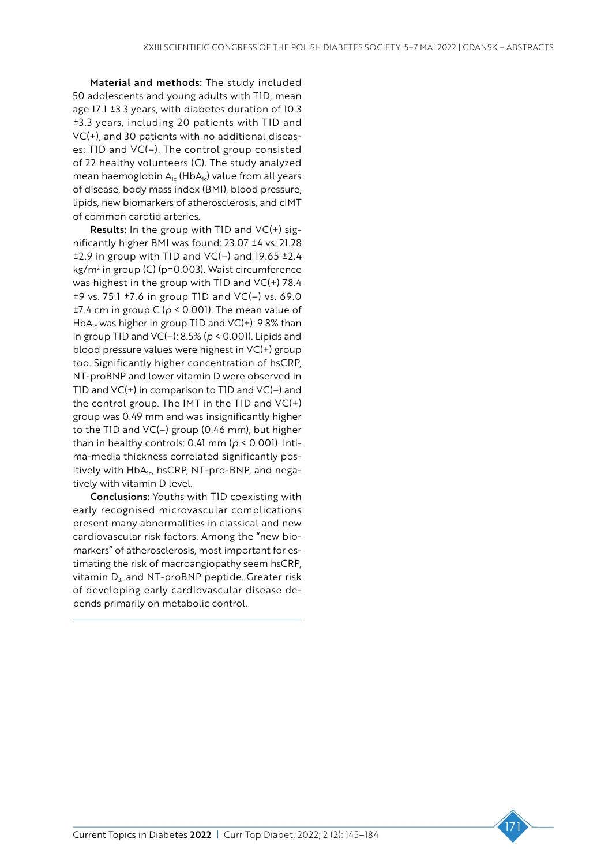Material and methods: The study included 50 adolescents and young adults with T1D, mean age 17.1 ±3.3 years, with diabetes duration of 10.3 ±3.3 years, including 20 patients with T1D and VC(+), and 30 patients with no additional diseases: T1D and VC(–). The control group consisted of 22 healthy volunteers (C). The study analyzed mean haemoglobin  $A_{1c}$  (Hb $A_{1c}$ ) value from all years of disease, body mass index (BMI), blood pressure, lipids, new biomarkers of atherosclerosis, and cIMT of common carotid arteries.

Results: In the group with T1D and VC(+) significantly higher BMI was found: 23.07 ±4 vs. 21.28  $\pm$ 2.9 in group with TID and VC(-) and 19.65  $\pm$ 2.4 kg/m2 in group (C) (p=0.003). Waist circumference was highest in the group with T1D and VC(+) 78.4 ±9 vs. 75.1 ±7.6 in group T1D and VC(–) vs. 69.0 ±7.4 cm in group C (*p* < 0.001). The mean value of HbA<sub>1c</sub> was higher in group T1D and  $VC(+)$ : 9.8% than in group T1D and VC(–): 8.5% (*p* < 0.001). Lipids and blood pressure values were highest in VC(+) group too. Significantly higher concentration of hsCRP, NT-proBNP and lower vitamin D were observed in T1D and VC(+) in comparison to T1D and VC(–) and the control group. The IMT in the TID and  $VC(+)$ group was 0.49 mm and was insignificantly higher to the T1D and VC(–) group (0.46 mm), but higher than in healthy controls: 0.41 mm (*p* < 0.001). Intima-media thickness correlated significantly positively with  $HbA_{1c}$ , hsCRP, NT-pro-BNP, and negatively with vitamin D level.

Conclusions: Youths with T1D coexisting with early recognised microvascular complications present many abnormalities in classical and new cardiovascular risk factors. Among the "new biomarkers" of atherosclerosis, most important for estimating the risk of macroangiopathy seem hsCRP, vitamin D<sub>3</sub>, and NT-proBNP peptide. Greater risk of developing early cardiovascular disease depends primarily on metabolic control.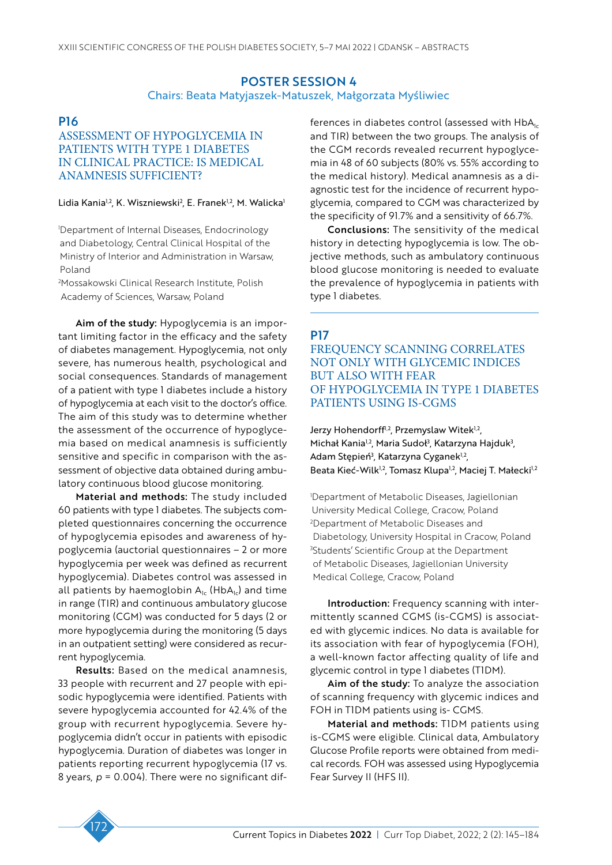### POSTER SESSION 4 Chairs: Beata Matyjaszek-Matuszek, Małgorzata Myśliwiec

# P16

# ASSESSMENT OF HYPOGLYCEMIA IN PATIENTS WITH TYPE 1 DIABETES IN CLINICAL PRACTICE: IS MEDICAL ANAMNESIS SUFFICIENT?

#### Lidia Kania1,2, K. Wiszniewski<sup>2</sup>, E. Franek<sup>1,2</sup>, M. Walicka<sup>1</sup>

1 Department of Internal Diseases, Endocrinology and Diabetology, Central Clinical Hospital of the Ministry of Interior and Administration in Warsaw, Poland

2 Mossakowski Clinical Research Institute, Polish Academy of Sciences, Warsaw, Poland

Aim of the study: Hypoglycemia is an important limiting factor in the efficacy and the safety of diabetes management. Hypoglycemia, not only severe, has numerous health, psychological and social consequences. Standards of management of a patient with type 1 diabetes include a history of hypoglycemia at each visit to the doctor's office. The aim of this study was to determine whether the assessment of the occurrence of hypoglycemia based on medical anamnesis is sufficiently sensitive and specific in comparison with the assessment of objective data obtained during ambulatory continuous blood glucose monitoring.

Material and methods: The study included 60 patients with type 1 diabetes. The subjects completed questionnaires concerning the occurrence of hypoglycemia episodes and awareness of hypoglycemia (auctorial questionnaires – 2 or more hypoglycemia per week was defined as recurrent hypoglycemia). Diabetes control was assessed in all patients by haemoglobin  $A_{1c}$  (Hb $A_{1c}$ ) and time in range (TIR) and continuous ambulatory glucose monitoring (CGM) was conducted for 5 days (2 or more hypoglycemia during the monitoring (5 days in an outpatient setting) were considered as recurrent hypoglycemia.

Results: Based on the medical anamnesis, 33 people with recurrent and 27 people with episodic hypoglycemia were identified. Patients with severe hypoglycemia accounted for 42.4% of the group with recurrent hypoglycemia. Severe hypoglycemia didn't occur in patients with episodic hypoglycemia. Duration of diabetes was longer in patients reporting recurrent hypoglycemia (17 vs. 8 years,  $p = 0.004$ ). There were no significant differences in diabetes control (assessed with  $HbA<sub>1c</sub>$ and TIR) between the two groups. The analysis of the CGM records revealed recurrent hypoglycemia in 48 of 60 subjects (80% vs. 55% according to the medical history). Medical anamnesis as a diagnostic test for the incidence of recurrent hypoglycemia, compared to CGM was characterized by the specificity of 91.7% and a sensitivity of 66.7%.

Conclusions: The sensitivity of the medical history in detecting hypoglycemia is low. The objective methods, such as ambulatory continuous blood glucose monitoring is needed to evaluate the prevalence of hypoglycemia in patients with type 1 diabetes.

# **P17**

FREQUENCY SCANNING CORRELATES NOT ONLY WITH GLYCEMIC INDICES BUT ALSO WITH FEAR OF HYPOGLYCEMIA IN TYPE 1 DIABETES PATIENTS USING IS-CGMS

Jerzy Hohendorff<sup>1,2</sup>, Przemyslaw Witek<sup>1,2</sup>, Michał Kania<sup>1,2</sup>, Maria Sudoł<sup>3</sup>, Katarzyna Hajduk<sup>3</sup>, Adam Stępień<sup>3</sup>, Katarzyna Cyganek<sup>1,2</sup>, Beata Kieć-Wilk<sup>1,2</sup>, Tomasz Klupa<sup>1,2</sup>, Maciej T. Małecki<sup>1,2</sup>

1 Department of Metabolic Diseases, Jagiellonian University Medical College, Cracow, Poland 2 Department of Metabolic Diseases and Diabetology, University Hospital in Cracow, Poland 3 Students' Scientific Group at the Department of Metabolic Diseases, Jagiellonian University Medical College, Cracow, Poland

Introduction: Frequency scanning with intermittently scanned CGMS (is-CGMS) is associated with glycemic indices. No data is available for its association with fear of hypoglycemia (FOH), a well-known factor affecting quality of life and glycemic control in type 1 diabetes (T1DM).

Aim of the study: To analyze the association of scanning frequency with glycemic indices and FOH in T1DM patients using is- CGMS.

Material and methods: T1DM patients using is-CGMS were eligible. Clinical data, Ambulatory Glucose Profile reports were obtained from medical records. FOH was assessed using Hypoglycemia Fear Survey II (HFS II).

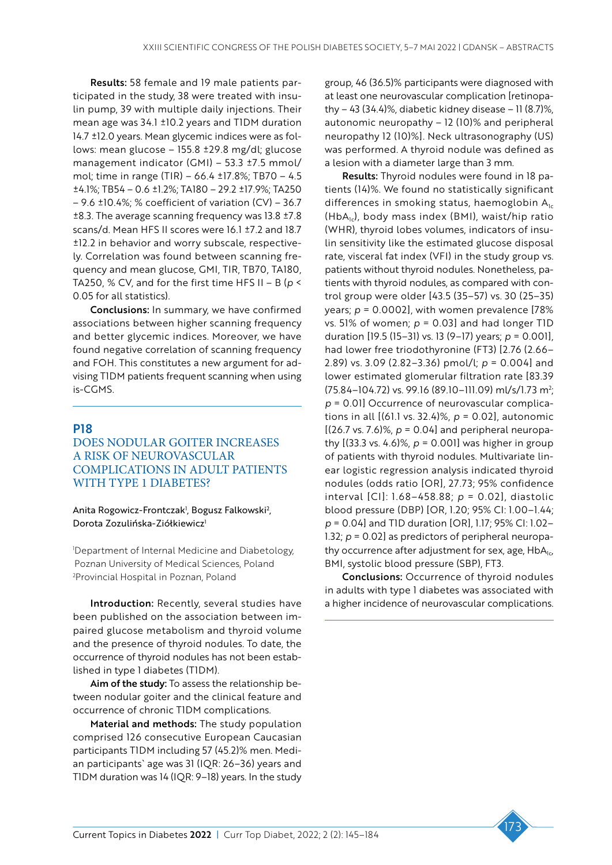Results: 58 female and 19 male patients participated in the study, 38 were treated with insulin pump, 39 with multiple daily injections. Their mean age was 34.1 ±10.2 years and T1DM duration 14.7 ±12.0 years. Mean glycemic indices were as follows: mean glucose – 155.8 ±29.8 mg/dl; glucose management indicator (GMI) – 53.3 ±7.5 mmol/ mol; time in range (TIR) – 66.4 ±17.8%; TB70 – 4.5 ±4.1%; TB54 – 0.6 ±1.2%; TA180 – 29.2 ±17.9%; TA250 – 9.6 ±10.4%; % coefficient of variation (CV) – 36.7 ±8.3. The average scanning frequency was 13.8 ±7.8 scans/d. Mean HFS II scores were 16.1 ±7.2 and 18.7 ±12.2 in behavior and worry subscale, respectively. Correlation was found between scanning frequency and mean glucose, GMI, TIR, TB70, TA180, TA250, % CV, and for the first time HFS II – B ( $p$  < 0.05 for all statistics).

Conclusions: In summary, we have confirmed associations between higher scanning frequency and better glycemic indices. Moreover, we have found negative correlation of scanning frequency and FOH. This constitutes a new argument for advising T1DM patients frequent scanning when using is-CGMS.

# P18

# DOES NODULAR GOITER INCREASES A RISK OF NEUROVASCULAR COMPLICATIONS IN ADULT PATIENTS WITH TYPE 1 DIABETES?

Anita Rogowicz-Frontczak<sup>1</sup>, Bogusz Falkowski<sup>2</sup>, Dorota Zozulińska-Ziółkiewicz<sup>1</sup>

1 Department of Internal Medicine and Diabetology, Poznan University of Medical Sciences, Poland 2 Provincial Hospital in Poznan, Poland

Introduction: Recently, several studies have been published on the association between impaired glucose metabolism and thyroid volume and the presence of thyroid nodules. To date, the occurrence of thyroid nodules has not been established in type 1 diabetes (T1DM).

Aim of the study: To assess the relationship between nodular goiter and the clinical feature and occurrence of chronic T1DM complications.

Material and methods: The study population comprised 126 consecutive European Caucasian participants T1DM including 57 (45.2)% men. Median participants` age was 31 (IQR: 26–36) years and T1DM duration was 14 (IQR: 9–18) years. In the study

group, 46 (36.5)% participants were diagnosed with at least one neurovascular complication [retinopathy – 43 (34.4)%, diabetic kidney disease – 11 (8.7)%, autonomic neuropathy – 12 (10)% and peripheral neuropathy 12 (10)%]. Neck ultrasonography (US) was performed. A thyroid nodule was defined as a lesion with a diameter large than 3 mm.

Results: Thyroid nodules were found in 18 patients (14)%. We found no statistically significant differences in smoking status, haemoglobin  $A_{1c}$  $(HbA_{1c})$ , body mass index (BMI), waist/hip ratio (WHR), thyroid lobes volumes, indicators of insulin sensitivity like the estimated glucose disposal rate, visceral fat index (VFI) in the study group vs. patients without thyroid nodules. Nonetheless, patients with thyroid nodules, as compared with control group were older [43.5 (35–57) vs. 30 (25–35) years; *p* = 0.0002], with women prevalence [78% vs. 51% of women; *p* = 0.03] and had longer T1D duration [19.5 (15–31) vs. 13 (9–17) years; *p* = 0.001], had lower free triodothyronine (FT3) [2.76 (2.66– 2.89) vs. 3.09 (2.82–3.36) pmol/l; *p* = 0.004] and lower estimated glomerular filtration rate [83.39 (75.84–104.72) vs. 99.16 (89.10–111.09) ml/s/1.73 m2 ; *p* = 0.01] Occurrence of neurovascular complications in all [(61.1 vs. 32.4)%, *p* = 0.02], autonomic [(26.7 vs. 7.6)%, *p* = 0.04] and peripheral neuropathy [(33.3 vs. 4.6)%, *p* = 0.001] was higher in group of patients with thyroid nodules. Multivariate linear logistic regression analysis indicated thyroid nodules (odds ratio [OR], 27.73; 95% confidence interval [CI]: 1.68–458.88; *p* = 0.02], diastolic blood pressure (DBP) [OR, 1.20; 95% CI: 1.00–1.44; *p* = 0.04] and T1D duration [OR], 1.17; 95% CI: 1.02– 1.32;  $p = 0.02$  as predictors of peripheral neuropathy occurrence after adjustment for sex, age,  $HbA_{1c}$ , BMI, systolic blood pressure (SBP), FT3.

Conclusions: Occurrence of thyroid nodules in adults with type 1 diabetes was associated with a higher incidence of neurovascular complications.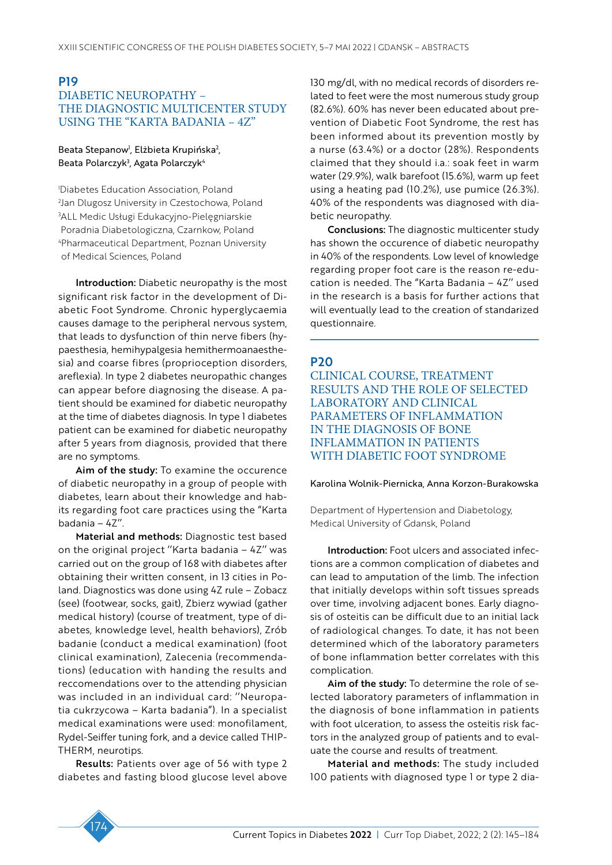# P19 DIABETIC NEUROPATHY – THE DIAGNOSTIC MULTICENTER STUDY USING THE "KARTA BADANIA – 4Z"

#### Beata Stepanow<sup>i</sup>, Elżbieta Krupińska<sup>2</sup>, Beata Polarczyk<sup>3</sup>, Agata Polarczyk<sup>4</sup>

 Diabetes Education Association, Poland Jan Dlugosz University in Czestochowa, Poland ALL Medic Usługi Edukacyjno-Pielęgniarskie Poradnia Diabetologiczna, Czarnkow, Poland Pharmaceutical Department, Poznan University of Medical Sciences, Poland

Introduction: Diabetic neuropathy is the most significant risk factor in the development of Diabetic Foot Syndrome. Chronic hyperglycaemia causes damage to the peripheral nervous system, that leads to dysfunction of thin nerve fibers (hypaesthesia, hemihypalgesia hemithermoanaesthesia) and coarse fibres (proprioception disorders, areflexia). In type 2 diabetes neuropathic changes can appear before diagnosing the disease. A patient should be examined for diabetic neuropathy at the time of diabetes diagnosis. In type 1 diabetes patient can be examined for diabetic neuropathy after 5 years from diagnosis, provided that there are no symptoms.

Aim of the study: To examine the occurence of diabetic neuropathy in a group of people with diabetes, learn about their knowledge and habits regarding foot care practices using the "Karta badania – 4Z''.

Material and methods: Diagnostic test based on the original project ''Karta badania – 4Z'' was carried out on the group of 168 with diabetes after obtaining their written consent, in 13 cities in Poland. Diagnostics was done using 4Z rule – Zobacz (see) (footwear, socks, gait), Zbierz wywiad (gather medical history) (course of treatment, type of diabetes, knowledge level, health behaviors), Zrób badanie (conduct a medical examination) (foot clinical examination), Zalecenia (recommendations) (education with handing the results and reccomendations over to the attending physician was included in an individual card: ''Neuropatia cukrzycowa – Karta badania"). In a specialist medical examinations were used: monofilament, Rydel-Seiffer tuning fork, and a device called THIP-THERM, neurotips.

Results: Patients over age of 56 with type 2 diabetes and fasting blood glucose level above 130 mg/dl, with no medical records of disorders related to feet were the most numerous study group (82.6%). 60% has never been educated about prevention of Diabetic Foot Syndrome, the rest has been informed about its prevention mostly by a nurse (63.4%) or a doctor (28%). Respondents claimed that they should i.a.: soak feet in warm water (29.9%), walk barefoot (15.6%), warm up feet using a heating pad (10.2%), use pumice (26.3%). 40% of the respondents was diagnosed with diabetic neuropathy.

Conclusions: The diagnostic multicenter study has shown the occurence of diabetic neuropathy in 40% of the respondents. Low level of knowledge regarding proper foot care is the reason re-education is needed. The "Karta Badania – 4Z'' used in the research is a basis for further actions that will eventually lead to the creation of standarized questionnaire.

# P20

CLINICAL COURSE, TREATMENT RESULTS AND THE ROLE OF SELECTED LABORATORY AND CLINICAL PARAMETERS OF INFLAMMATION IN THE DIAGNOSIS OF BONE INFLAMMATION IN PATIENTS WITH DIABETIC FOOT SYNDROME

Karolina Wolnik-Piernicka, Anna Korzon-Burakowska

Department of Hypertension and Diabetology, Medical University of Gdansk, Poland

Introduction: Foot ulcers and associated infections are a common complication of diabetes and can lead to amputation of the limb. The infection that initially develops within soft tissues spreads over time, involving adjacent bones. Early diagnosis of osteitis can be difficult due to an initial lack of radiological changes. To date, it has not been determined which of the laboratory parameters of bone inflammation better correlates with this complication.

Aim of the study: To determine the role of selected laboratory parameters of inflammation in the diagnosis of bone inflammation in patients with foot ulceration, to assess the osteitis risk factors in the analyzed group of patients and to evaluate the course and results of treatment.

Material and methods: The study included 100 patients with diagnosed type 1 or type 2 dia-

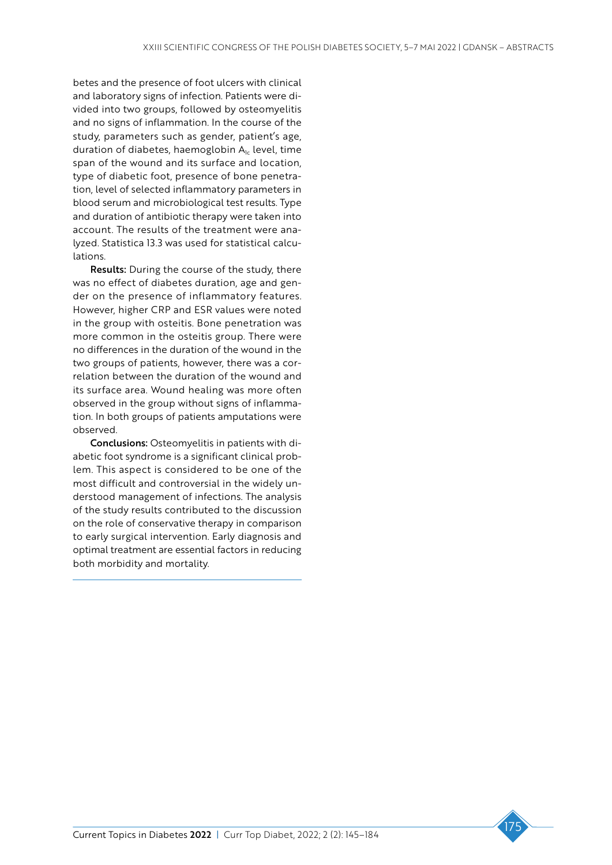betes and the presence of foot ulcers with clinical and laboratory signs of infection. Patients were divided into two groups, followed by osteomyelitis and no signs of inflammation. In the course of the study, parameters such as gender, patient's age, duration of diabetes, haemoglobin  $A<sub>1c</sub>$  level, time span of the wound and its surface and location, type of diabetic foot, presence of bone penetration, level of selected inflammatory parameters in blood serum and microbiological test results. Type and duration of antibiotic therapy were taken into account. The results of the treatment were analyzed. Statistica 13.3 was used for statistical calculations.

Results: During the course of the study, there was no effect of diabetes duration, age and gender on the presence of inflammatory features. However, higher CRP and ESR values were noted in the group with osteitis. Bone penetration was more common in the osteitis group. There were no differences in the duration of the wound in the two groups of patients, however, there was a correlation between the duration of the wound and its surface area. Wound healing was more often observed in the group without signs of inflammation. In both groups of patients amputations were observed.

Conclusions: Osteomyelitis in patients with diabetic foot syndrome is a significant clinical problem. This aspect is considered to be one of the most difficult and controversial in the widely understood management of infections. The analysis of the study results contributed to the discussion on the role of conservative therapy in comparison to early surgical intervention. Early diagnosis and optimal treatment are essential factors in reducing both morbidity and mortality.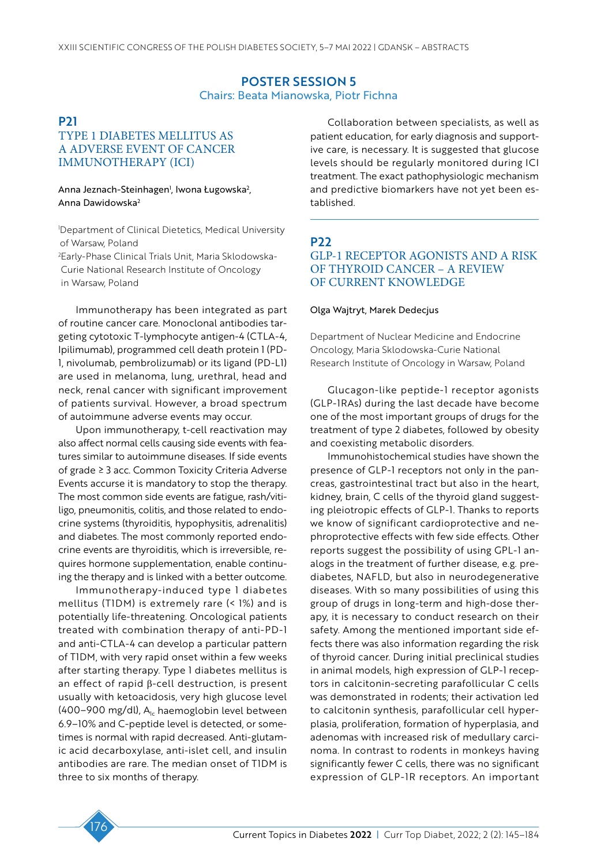### POSTER SESSION 5 Chairs: Beata Mianowska, Piotr Fichna

# P21 TYPE 1 DIABETES MELLITUS AS A ADVERSE EVENT OF CANCER IMMUNOTHERAPY (ICI)

#### Anna Jeznach-Steinhagen<sup>1</sup>, Iwona Ługowska<sup>2</sup>, Anna Dawidowska2

1 Department of Clinical Dietetics, Medical University of Warsaw, Poland 2 Early-Phase Clinical Trials Unit, Maria Sklodowska-Curie National Research Institute of Oncology in Warsaw, Poland

Immunotherapy has been integrated as part of routine cancer care. Monoclonal antibodies targeting cytotoxic T-lymphocyte antigen-4 (CTLA-4, Ipilimumab), programmed cell death protein 1 (PD-1, nivolumab, pembrolizumab) or its ligand (PD-L1) are used in melanoma, lung, urethral, head and neck, renal cancer with significant improvement of patients survival. However, a broad spectrum of autoimmune adverse events may occur.

Upon immunotherapy, t-cell reactivation may also affect normal cells causing side events with features similar to autoimmune diseases. If side events of grade ≥ 3 acc. Common Toxicity Criteria Adverse Events accurse it is mandatory to stop the therapy. The most common side events are fatigue, rash/vitiligo, pneumonitis, colitis, and those related to endocrine systems (thyroiditis, hypophysitis, adrenalitis) and diabetes. The most commonly reported endocrine events are thyroiditis, which is irreversible, requires hormone supplementation, enable continuing the therapy and is linked with a better outcome.

Immunotherapy-induced type 1 diabetes mellitus (T1DM) is extremely rare (< 1%) and is potentially life-threatening. Oncological patients treated with combination therapy of anti-PD-1 and anti-CTLA-4 can develop a particular pattern of T1DM, with very rapid onset within a few weeks after starting therapy. Type 1 diabetes mellitus is an effect of rapid β-cell destruction, is present usually with ketoacidosis, very high glucose level (400–900 mg/dl),  $A<sub>1c</sub>$  haemoglobin level between 6.9–10% and C-peptide level is detected, or sometimes is normal with rapid decreased. Anti-glutamic acid decarboxylase, anti-islet cell, and insulin antibodies are rare. The median onset of T1DM is three to six months of therapy.

Collaboration between specialists, as well as patient education, for early diagnosis and supportive care, is necessary. It is suggested that glucose levels should be regularly monitored during ICI treatment. The exact pathophysiologic mechanism and predictive biomarkers have not yet been established.

# P22

# GLP-1 RECEPTOR AGONISTS AND A RISK OF THYROID CANCER – A REVIEW OF CURRENT KNOWLEDGE

#### Olga Wajtryt, Marek Dedecjus

Department of Nuclear Medicine and Endocrine Oncology, Maria Sklodowska-Curie National Research Institute of Oncology in Warsaw, Poland

Glucagon-like peptide-1 receptor agonists (GLP-1RAs) during the last decade have become one of the most important groups of drugs for the treatment of type 2 diabetes, followed by obesity and coexisting metabolic disorders.

Immunohistochemical studies have shown the presence of GLP-1 receptors not only in the pancreas, gastrointestinal tract but also in the heart, kidney, brain, C cells of the thyroid gland suggesting pleiotropic effects of GLP-1. Thanks to reports we know of significant cardioprotective and nephroprotective effects with few side effects. Other reports suggest the possibility of using GPL-1 analogs in the treatment of further disease, e.g. prediabetes, NAFLD, but also in neurodegenerative diseases. With so many possibilities of using this group of drugs in long-term and high-dose therapy, it is necessary to conduct research on their safety. Among the mentioned important side effects there was also information regarding the risk of thyroid cancer. During initial preclinical studies in animal models, high expression of GLP-1 receptors in calcitonin-secreting parafollicular C cells was demonstrated in rodents; their activation led to calcitonin synthesis, parafollicular cell hyperplasia, proliferation, formation of hyperplasia, and adenomas with increased risk of medullary carcinoma. In contrast to rodents in monkeys having significantly fewer C cells, there was no significant expression of GLP-1R receptors. An important

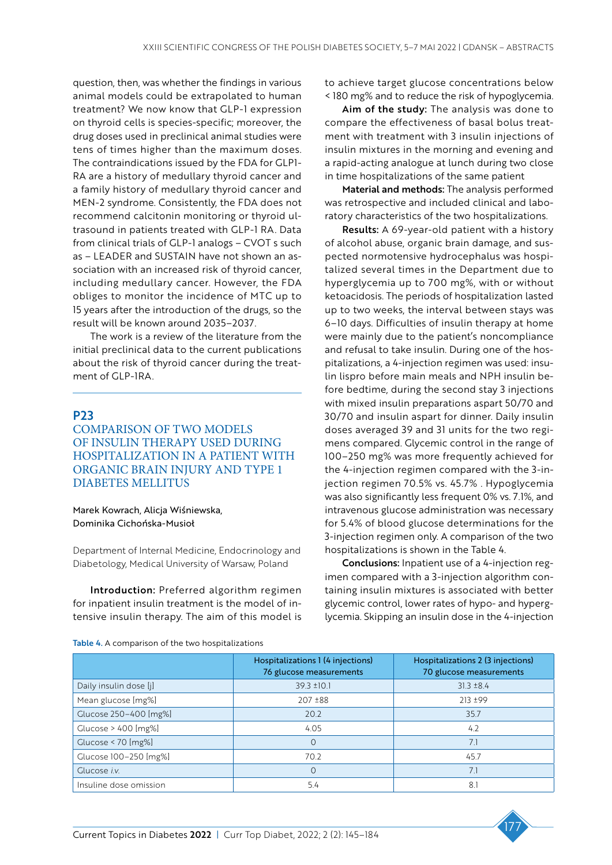question, then, was whether the findings in various animal models could be extrapolated to human treatment? We now know that GLP-1 expression on thyroid cells is species-specific; moreover, the drug doses used in preclinical animal studies were tens of times higher than the maximum doses. The contraindications issued by the FDA for GLP1- RA are a history of medullary thyroid cancer and a family history of medullary thyroid cancer and MEN-2 syndrome. Consistently, the FDA does not recommend calcitonin monitoring or thyroid ultrasound in patients treated with GLP-1 RA. Data from clinical trials of GLP-1 analogs – CVOT s such as – LEADER and SUSTAIN have not shown an association with an increased risk of thyroid cancer, including medullary cancer. However, the FDA obliges to monitor the incidence of MTC up to 15 years after the introduction of the drugs, so the result will be known around 2035–2037.

The work is a review of the literature from the initial preclinical data to the current publications about the risk of thyroid cancer during the treatment of GLP-1RA.

# P23

COMPARISON OF TWO MODELS OF INSULIN THERAPY USED DURING HOSPITALIZATION IN A PATIENT WITH ORGANIC BRAIN INJURY AND TYPE 1 DIABETES MELLITUS

### Marek Kowrach, Alicja Wiśniewska, Dominika Cichońska-Musioł

Department of Internal Medicine, Endocrinology and Diabetology, Medical University of Warsaw, Poland

Introduction: Preferred algorithm regimen for inpatient insulin treatment is the model of intensive insulin therapy. The aim of this model is

to achieve target glucose concentrations below < 180 mg% and to reduce the risk of hypoglycemia.

Aim of the study: The analysis was done to compare the effectiveness of basal bolus treatment with treatment with 3 insulin injections of insulin mixtures in the morning and evening and a rapid-acting analogue at lunch during two close in time hospitalizations of the same patient

Material and methods: The analysis performed was retrospective and included clinical and laboratory characteristics of the two hospitalizations.

Results: A 69-year-old patient with a history of alcohol abuse, organic brain damage, and suspected normotensive hydrocephalus was hospitalized several times in the Department due to hyperglycemia up to 700 mg%, with or without ketoacidosis. The periods of hospitalization lasted up to two weeks, the interval between stays was 6–10 days. Difficulties of insulin therapy at home were mainly due to the patient's noncompliance and refusal to take insulin. During one of the hospitalizations, a 4-injection regimen was used: insulin lispro before main meals and NPH insulin before bedtime, during the second stay 3 injections with mixed insulin preparations aspart 50/70 and 30/70 and insulin aspart for dinner. Daily insulin doses averaged 39 and 31 units for the two regimens compared. Glycemic control in the range of 100–250 mg% was more frequently achieved for the 4-injection regimen compared with the 3-injection regimen 70.5% vs. 45.7% . Hypoglycemia was also significantly less frequent 0% vs. 7.1%, and intravenous glucose administration was necessary for 5.4% of blood glucose determinations for the 3-injection regimen only. A comparison of the two hospitalizations is shown in the Table 4.

Conclusions: Inpatient use of a 4-injection regimen compared with a 3-injection algorithm containing insulin mixtures is associated with better glycemic control, lower rates of hypo- and hyperglycemia. Skipping an insulin dose in the 4-injection

|  | Table 4. A comparison of the two hospitalizations |
|--|---------------------------------------------------|
|  |                                                   |

|                        | Hospitalizations 1 (4 injections)<br>76 glucose measurements | Hospitalizations 2 (3 injections)<br>70 glucose measurements |
|------------------------|--------------------------------------------------------------|--------------------------------------------------------------|
| Daily insulin dose [j] | $39.3 \pm 10.1$                                              | $31.3 \pm 8.4$                                               |
| Mean glucose [mg%]     | $207 \pm 88$                                                 | $213 + 99$                                                   |
| Glucose 250-400 [mg%]  | 20.2                                                         | 35.7                                                         |
| Glucose > 400 [mg%]    | 4.05                                                         | 4.2                                                          |
| Glucose < $70$ [mg%]   | $\Omega$                                                     | 7.1                                                          |
| Glucose 100-250 [mg%]  | 70.2                                                         | 45.7                                                         |
| Glucose <i>i.v.</i>    | $\Omega$                                                     | 7.1                                                          |
| Insuline dose omission | 5.4                                                          | 8.1                                                          |

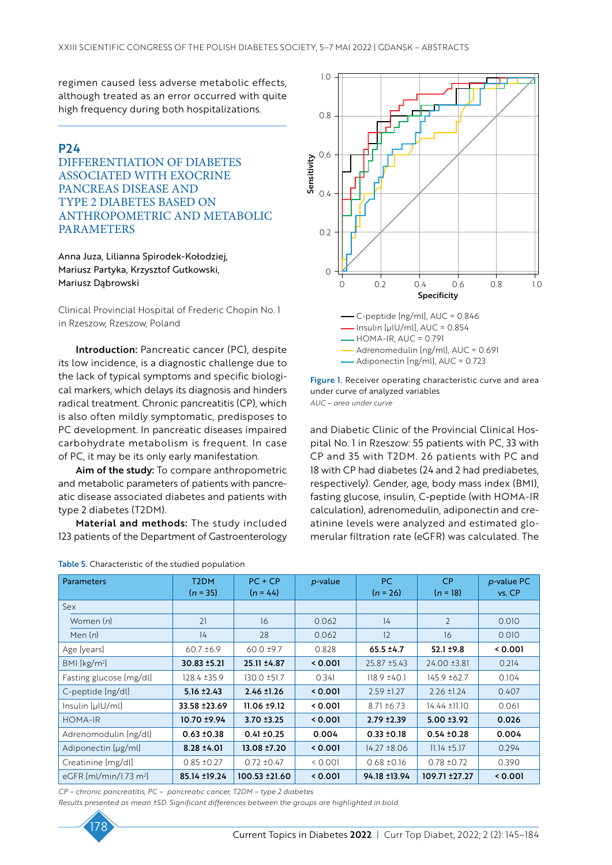regimen caused less adverse metabolic effects, although treated as an error occurred with quite high frequency during both hospitalizations.

# P24

DIFFERENTIATION OF DIABETES ASSOCIATED WITH EXOCRINE PANCREAS DISEASE AND TYPE 2 DIABETES BASED ON ANTHROPOMETRIC AND METABOLIC PARAMETERS

Anna Juza, Lilianna Spirodek-Kołodziej, Mariusz Partyka, Krzysztof Gutkowski, Mariusz Dąbrowski

Clinical Provincial Hospital of Frederic Chopin No. 1 in Rzeszow, Rzeszow, Poland

Introduction: Pancreatic cancer (PC), despite its low incidence, is a diagnostic challenge due to the lack of typical symptoms and specific biological markers, which delays its diagnosis and hinders radical treatment. Chronic pancreatitis (CP), which is also often mildly symptomatic, predisposes to PC development. In pancreatic diseases impaired carbohydrate metabolism is frequent. In case of PC, it may be its only early manifestation.

Aim of the study: To compare anthropometric and metabolic parameters of patients with pancreatic disease associated diabetes and patients with type 2 diabetes (T2DM).

Material and methods: The study included 123 patients of the Department of Gastroenterology

| Table 5. Characteristic of the studied population |  |  |
|---------------------------------------------------|--|--|
|                                                   |  |  |





*AUC – area under curve*

and Diabetic Clinic of the Provincial Clinical Hospital No. 1 in Rzeszow: 55 patients with PC, 33 with CP and 35 with T2DM. 26 patients with PC and 18 with CP had diabetes (24 and 2 had prediabetes, respectively). Gender, age, body mass index (BMI), fasting glucose, insulin, C-peptide (with HOMA-IR calculation), adrenomedulin, adiponectin and creatinine levels were analyzed and estimated glomerular filtration rate (eGFR) was calculated. The

| <b>Parameters</b>        | T <sub>2</sub> DM<br>$(n = 35)$ | $PC + CP$<br>$(n = 44)$ | p-value | PC.<br>$(n = 26)$ | <b>CP</b><br>$(n = 18)$ | p-value PC<br>vs. CP |
|--------------------------|---------------------------------|-------------------------|---------|-------------------|-------------------------|----------------------|
| Sex                      |                                 |                         |         |                   |                         |                      |
| Women (n)                | 21                              | 16                      | 0.062   | 14                | $\overline{2}$          | 0.010                |
| Men $(n)$                | 14                              | 28                      | 0.062   | 12                | 16                      | 0.010                |
| Age [years]              | $60.7 \pm 6.9$                  | $60.0 \pm 9.7$          | 0.828   | $65.5 + 4.7$      | $52.1 \pm 9.8$          | 0.001                |
| BMI [kg/m <sup>2</sup> ] | 30.83 ±5.21                     | 25.11 ±4.87             | 0.001   | $25.87 \pm 5.43$  | 24.00 ±3.81             | 0.214                |
| Fasting glucose [mg/dl]  | 128.4 ±35.9                     | 130.0 ±51.7             | 0.341   | $118.9 \pm 40.1$  | 145.9 ±62.7             | 0.104                |
| C-peptide [ng/dl]        | $5.16 \pm 2.43$                 | $2.46 \pm 1.26$         | 0.001   | $2.59$ ±1.27      | $2.26 \pm 1.24$         | 0.407                |
| Insulin [µIU/ml]         | 33.58 ± 23.69                   | $11.06 \pm 9.12$        | 0.001   | $8.71 \pm 6.73$   | $14.44 \pm 11.10$       | 0.061                |
| <b>HOMA-IR</b>           | 10.70 ±9.94                     | $3.70 + 3.25$           | 0.001   | $2.79 + 2.39$     | $5.00 \pm 3.92$         | 0.026                |
| Adrenomodulin [ng/dl]    | $0.63 \pm 0.38$                 | $0.41 \pm 0.25$         | 0.004   | $0.33 \pm 0.18$   | $0.54 \pm 0.28$         | 0.004                |
| Adiponectin [µg/ml]      | $8.28 \pm 4.01$                 | 13.08 ±7.20             | 0.001   | $14.27 \pm 8.06$  | $11.14 \pm 5.17$        | 0.294                |
| Creatinine [mg/dl]       | $0.85 \pm 0.27$                 | $0.72 \pm 0.47$         | 0.001   | $0.68 \pm 0.16$   | $0.78 \pm 0.72$         | 0.390                |
| eGFR $[mVmin/1.73 m2]$   | 85.14 ±19.24                    | 100.53 ±21.60           | 0.001   | 94.18 ±13.94      | 109.71 ± 27.27          | 0.001                |

*CP – chronic pancreatitis, PC – pancreatic cancer, T2DM – type 2 diabetes* 

*Results presented as mean ±SD. Significant differences between the groups are highlighted in bold.*

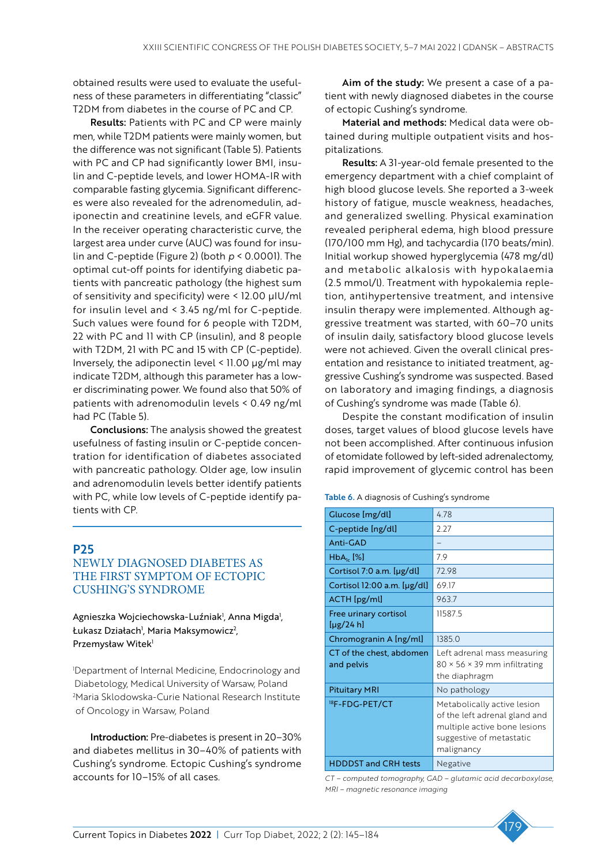obtained results were used to evaluate the usefulness of these parameters in differentiating "classic" T2DM from diabetes in the course of PC and CP.

Results: Patients with PC and CP were mainly men, while T2DM patients were mainly women, but the difference was not significant (Table 5). Patients with PC and CP had significantly lower BMI, insulin and C-peptide levels, and lower HOMA-IR with comparable fasting glycemia. Significant differences were also revealed for the adrenomedulin, adiponectin and creatinine levels, and eGFR value. In the receiver operating characteristic curve, the largest area under curve (AUC) was found for insulin and C-peptide (Figure 2) (both *p* < 0.0001). The optimal cut-off points for identifying diabetic patients with pancreatic pathology (the highest sum of sensitivity and specificity) were < 12.00 µIU/ml for insulin level and < 3.45 ng/ml for C-peptide. Such values were found for 6 people with T2DM, 22 with PC and 11 with CP (insulin), and 8 people with T2DM, 21 with PC and 15 with CP (C-peptide). Inversely, the adiponectin level  $\leq$  11.00  $\mu$ g/ml may indicate T2DM, although this parameter has a lower discriminating power. We found also that 50% of patients with adrenomodulin levels < 0.49 ng/ml had PC (Table 5).

Conclusions: The analysis showed the greatest usefulness of fasting insulin or C-peptide concentration for identification of diabetes associated with pancreatic pathology. Older age, low insulin and adrenomodulin levels better identify patients with PC, while low levels of C-peptide identify patients with CP.

# P25

# NEWLY DIAGNOSED DIABETES AS THE FIRST SYMPTOM OF ECTOPIC CUSHING'S SYNDROME

Agnieszka Wojciechowska-Luźniak<sup>1</sup>, Anna Migda<sup>1</sup>, Łukasz Działach<sup>1</sup>, Maria Maksymowicz<sup>2</sup>, Przemysław Witek<sup>1</sup>

1 Department of Internal Medicine, Endocrinology and Diabetology, Medical University of Warsaw, Poland 2 Maria Sklodowska-Curie National Research Institute of Oncology in Warsaw, Poland

Introduction: Pre-diabetes is present in 20–30% and diabetes mellitus in 30–40% of patients with Cushing's syndrome. Ectopic Cushing's syndrome accounts for 10–15% of all cases.

Aim of the study: We present a case of a patient with newly diagnosed diabetes in the course of ectopic Cushing's syndrome.

Material and methods: Medical data were obtained during multiple outpatient visits and hospitalizations.

Results: A 31-year-old female presented to the emergency department with a chief complaint of high blood glucose levels. She reported a 3-week history of fatigue, muscle weakness, headaches, and generalized swelling. Physical examination revealed peripheral edema, high blood pressure (170/100 mm Hg), and tachycardia (170 beats/min). Initial workup showed hyperglycemia (478 mg/dl) and metabolic alkalosis with hypokalaemia (2.5 mmol/l). Treatment with hypokalemia repletion, antihypertensive treatment, and intensive insulin therapy were implemented. Although aggressive treatment was started, with 60–70 units of insulin daily, satisfactory blood glucose levels were not achieved. Given the overall clinical presentation and resistance to initiated treatment, aggressive Cushing's syndrome was suspected. Based on laboratory and imaging findings, a diagnosis of Cushing's syndrome was made (Table 6).

Despite the constant modification of insulin doses, target values of blood glucose levels have not been accomplished. After continuous infusion of etomidate followed by left-sided adrenalectomy, rapid improvement of glycemic control has been

Table 6. A diagnosis of Cushing's syndrome

| Glucose [mg/dl]                         | 4.78                                                                                                                                   |
|-----------------------------------------|----------------------------------------------------------------------------------------------------------------------------------------|
| C-peptide [ng/dl]                       | 227                                                                                                                                    |
| $Anti-GAD$                              |                                                                                                                                        |
| $HbA_{\text{lc}}$ [%]                   | 7.9                                                                                                                                    |
| Cortisol 7:0 a.m. [µg/dl]               | 7298                                                                                                                                   |
| Cortisol 12:00 a.m. [µg/dl]             | 69.17                                                                                                                                  |
| ACTH [pg/ml]                            | 963.7                                                                                                                                  |
| Free urinary cortisol<br>$[\mu$ g/24 h] | 115875                                                                                                                                 |
| Chromogranin A [ng/ml]                  | 1385.0                                                                                                                                 |
| CT of the chest, abdomen<br>and pelvis  | Left adrenal mass measuring<br>$80 \times 56 \times 39$ mm infiltrating<br>the diaphragm                                               |
| <b>Pituitary MRI</b>                    | No pathology                                                                                                                           |
| <sup>18</sup> F-FDG-PET/CT              | Metabolically active lesion<br>of the left adrenal gland and<br>multiple active bone lesions<br>suggestive of metastatic<br>malignancy |
| <b>HDDDST and CRH tests</b>             | Negative                                                                                                                               |

*CT – computed tomography, GAD – glutamic acid decarboxylase, MRI – magnetic resonance imaging*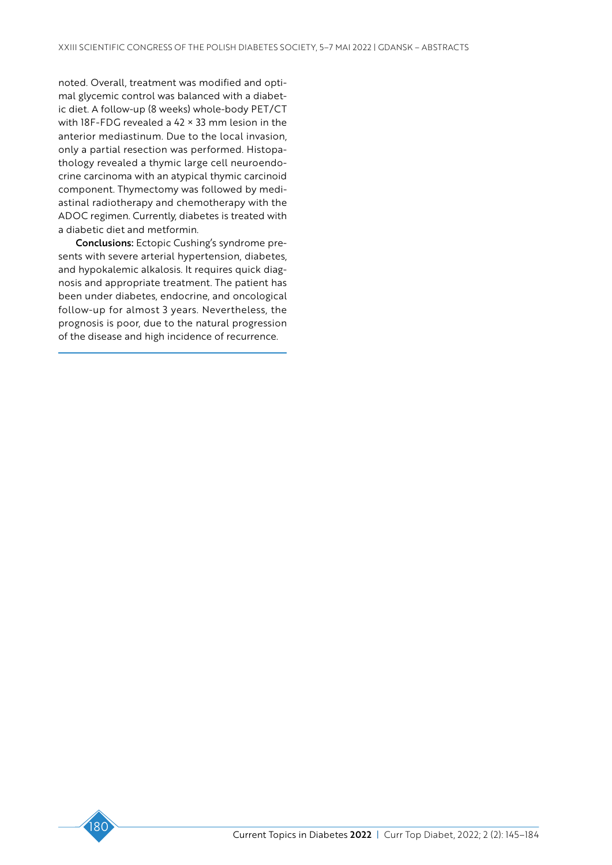noted. Overall, treatment was modified and optimal glycemic control was balanced with a diabetic diet. A follow-up (8 weeks) whole-body PET/CT with 18F-FDG revealed a 42 × 33 mm lesion in the anterior mediastinum. Due to the local invasion, only a partial resection was performed. Histopathology revealed a thymic large cell neuroendocrine carcinoma with an atypical thymic carcinoid component. Thymectomy was followed by mediastinal radiotherapy and chemotherapy with the ADOC regimen. Currently, diabetes is treated with a diabetic diet and metformin.

Conclusions: Ectopic Cushing's syndrome presents with severe arterial hypertension, diabetes, and hypokalemic alkalosis. It requires quick diagnosis and appropriate treatment. The patient has been under diabetes, endocrine, and oncological follow-up for almost 3 years. Nevertheless, the prognosis is poor, due to the natural progression of the disease and high incidence of recurrence.

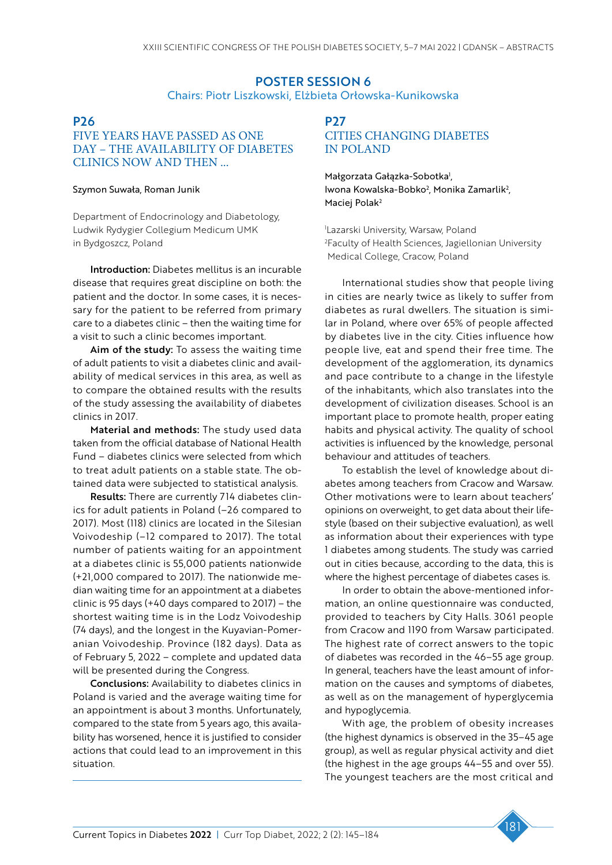# POSTER SESSION 6 Chairs: Piotr Liszkowski, Elżbieta Orłowska-Kunikowska

### P26

# FIVE YEARS HAVE PASSED AS ONE DAY – THE AVAILABILITY OF DIABETES CLINICS NOW AND THEN ...

#### Szymon Suwała, Roman Junik

Department of Endocrinology and Diabetology, Ludwik Rydygier Collegium Medicum UMK in Bydgoszcz, Poland

Introduction: Diabetes mellitus is an incurable disease that requires great discipline on both: the patient and the doctor. In some cases, it is necessary for the patient to be referred from primary care to a diabetes clinic – then the waiting time for a visit to such a clinic becomes important.

Aim of the study: To assess the waiting time of adult patients to visit a diabetes clinic and availability of medical services in this area, as well as to compare the obtained results with the results of the study assessing the availability of diabetes clinics in 2017.

Material and methods: The study used data taken from the official database of National Health Fund – diabetes clinics were selected from which to treat adult patients on a stable state. The obtained data were subjected to statistical analysis.

Results: There are currently 714 diabetes clinics for adult patients in Poland (–26 compared to 2017). Most (118) clinics are located in the Silesian Voivodeship (–12 compared to 2017). The total number of patients waiting for an appointment at a diabetes clinic is 55,000 patients nationwide (+21,000 compared to 2017). The nationwide median waiting time for an appointment at a diabetes clinic is 95 days (+40 days compared to 2017) – the shortest waiting time is in the Lodz Voivodeship (74 days), and the longest in the Kuyavian-Pomeranian Voivodeship. Province (182 days). Data as of February 5, 2022 – complete and updated data will be presented during the Congress.

Conclusions: Availability to diabetes clinics in Poland is varied and the average waiting time for an appointment is about 3 months. Unfortunately, compared to the state from 5 years ago, this availability has worsened, hence it is justified to consider actions that could lead to an improvement in this situation.

# P<sub>27</sub> CITIES CHANGING DIABETES IN POLAND

Małgorzata Gałązka-Sobotka<sup>1</sup>, lwona Kowalska-Bobko<sup>2</sup>, Monika Zamarlik<sup>2</sup>, Maciej Polak<sup>2</sup>

1 Lazarski University, Warsaw, Poland 2 Faculty of Health Sciences, Jagiellonian University Medical College, Cracow, Poland

International studies show that people living in cities are nearly twice as likely to suffer from diabetes as rural dwellers. The situation is similar in Poland, where over 65% of people affected by diabetes live in the city. Cities influence how people live, eat and spend their free time. The development of the agglomeration, its dynamics and pace contribute to a change in the lifestyle of the inhabitants, which also translates into the development of civilization diseases. School is an important place to promote health, proper eating habits and physical activity. The quality of school activities is influenced by the knowledge, personal behaviour and attitudes of teachers.

To establish the level of knowledge about diabetes among teachers from Cracow and Warsaw. Other motivations were to learn about teachers' opinions on overweight, to get data about their lifestyle (based on their subjective evaluation), as well as information about their experiences with type 1 diabetes among students. The study was carried out in cities because, according to the data, this is where the highest percentage of diabetes cases is.

In order to obtain the above-mentioned information, an online questionnaire was conducted, provided to teachers by City Halls. 3061 people from Cracow and 1190 from Warsaw participated. The highest rate of correct answers to the topic of diabetes was recorded in the 46–55 age group. In general, teachers have the least amount of information on the causes and symptoms of diabetes, as well as on the management of hyperglycemia and hypoglycemia.

With age, the problem of obesity increases (the highest dynamics is observed in the 35–45 age group), as well as regular physical activity and diet (the highest in the age groups 44–55 and over 55). The youngest teachers are the most critical and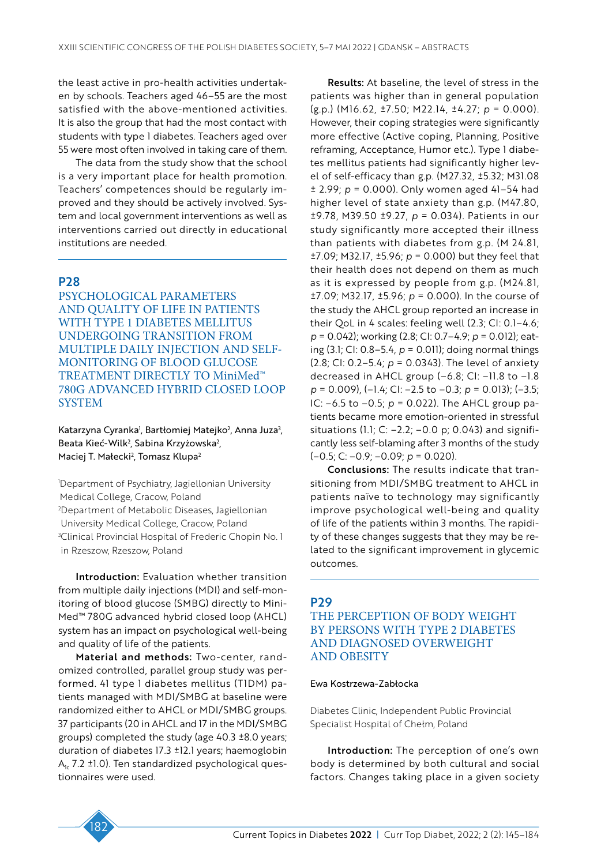the least active in pro-health activities undertaken by schools. Teachers aged 46–55 are the most satisfied with the above-mentioned activities. It is also the group that had the most contact with students with type 1 diabetes. Teachers aged over 55 were most often involved in taking care of them.

The data from the study show that the school is a very important place for health promotion. Teachers' competences should be regularly improved and they should be actively involved. System and local government interventions as well as interventions carried out directly in educational institutions are needed.

# P28

PSYCHOLOGICAL PARAMETERS AND QUALITY OF LIFE IN PATIENTS WITH TYPE 1 DIABETES MELLITUS UNDERGOING TRANSITION FROM MULTIPLE DAILY INJECTION AND SELF-MONITORING OF BLOOD GLUCOSE TREATMENT DIRECTLY TO MiniMed™ 780G ADVANCED HYBRID CLOSED LOOP SYSTEM

Katarzyna Cyranka<sup>,</sup>, Bartłomiej Matejko<sup>2</sup>, Anna Juza<sup>3</sup>, Beata Kieć-Wilk<sup>2</sup>, Sabina Krzyżowska<sup>2</sup>, Maciej T. Małecki<sup>2</sup>, Tomasz Klupa<sup>2</sup>

1 Department of Psychiatry, Jagiellonian University Medical College, Cracow, Poland 2 Department of Metabolic Diseases, Jagiellonian University Medical College, Cracow, Poland 3 Clinical Provincial Hospital of Frederic Chopin No. 1 in Rzeszow, Rzeszow, Poland

Introduction: Evaluation whether transition from multiple daily injections (MDI) and self-monitoring of blood glucose (SMBG) directly to Mini-Med™ 780G advanced hybrid closed loop (AHCL) system has an impact on psychological well-being and quality of life of the patients.

Material and methods: Two-center, randomized controlled, parallel group study was performed. 41 type 1 diabetes mellitus (T1DM) patients managed with MDI/SMBG at baseline were randomized either to AHCL or MDI/SMBG groups. 37 participants (20 in AHCL and 17 in the MDI/SMBG groups) completed the study (age 40.3 ±8.0 years; duration of diabetes 17.3 ±12.1 years; haemoglobin  $A<sub>1c</sub>$  7.2 ±1.0). Ten standardized psychological questionnaires were used.

Results: At baseline, the level of stress in the patients was higher than in general population (g.p.) (M16.62, ±7.50; M22.14, ±4.27; *p* = 0.000). However, their coping strategies were significantly more effective (Active coping, Planning, Positive reframing, Acceptance, Humor etc.). Type 1 diabetes mellitus patients had significantly higher level of self-efficacy than g.p. (M27.32, ±5.32; M31.08 ± 2.99; *p* = 0.000). Only women aged 41–54 had higher level of state anxiety than g.p. (M47.80, ±9.78, M39.50 ±9.27, *p* = 0.034). Patients in our study significantly more accepted their illness than patients with diabetes from g.p. (M 24.81, ±7.09; M32.17, ±5.96; *p* = 0.000) but they feel that their health does not depend on them as much as it is expressed by people from g.p. (M24.81, ±7.09; M32.17, ±5.96; *p* = 0.000). In the course of the study the AHCL group reported an increase in their QoL in 4 scales: feeling well (2.3; CI: 0.1–4.6; *p* = 0.042); working (2.8; CI: 0.7–4.9; *p* = 0.012); eating (3.1; CI: 0.8–5.4, *p* = 0.011); doing normal things (2.8; CI: 0.2–5.4; *p* = 0.0343). The level of anxiety decreased in AHCL group (–6.8; CI: –11.8 to –1.8 *p* = 0.009), (–1.4; CI: –2.5 to –0.3; *p* = 0.013); (–3.5; IC: –6.5 to –0.5; *p* = 0.022). The AHCL group patients became more emotion-oriented in stressful situations (1.1; C:  $-2.2$ ;  $-0.0$  p; 0.043) and significantly less self-blaming after 3 months of the study (–0.5; C: –0.9; –0.09; *p* = 0.020).

Conclusions: The results indicate that transitioning from MDI/SMBG treatment to AHCL in patients naïve to technology may significantly improve psychological well-being and quality of life of the patients within 3 months. The rapidity of these changes suggests that they may be related to the significant improvement in glycemic outcomes.

#### P29

# THE PERCEPTION OF BODY WEIGHT BY PERSONS WITH TYPE 2 DIABETES AND DIAGNOSED OVERWEIGHT AND OBESITY

#### Ewa Kostrzewa-Zabłocka

Diabetes Clinic, Independent Public Provincial Specialist Hospital of Chełm, Poland

Introduction: The perception of one's own body is determined by both cultural and social factors. Changes taking place in a given society

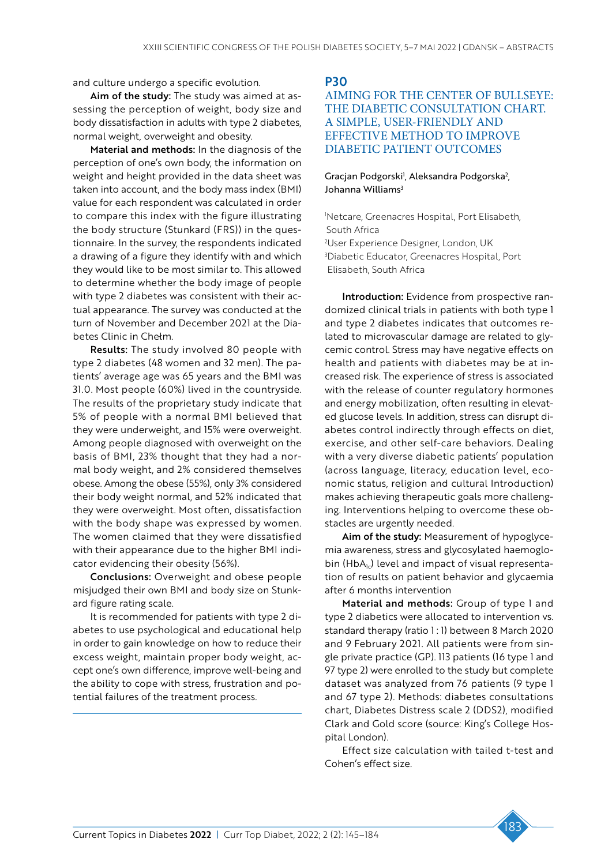and culture undergo a specific evolution.

Aim of the study: The study was aimed at assessing the perception of weight, body size and body dissatisfaction in adults with type 2 diabetes, normal weight, overweight and obesity.

Material and methods: In the diagnosis of the perception of one's own body, the information on weight and height provided in the data sheet was taken into account, and the body mass index (BMI) value for each respondent was calculated in order to compare this index with the figure illustrating the body structure (Stunkard (FRS)) in the questionnaire. In the survey, the respondents indicated a drawing of a figure they identify with and which they would like to be most similar to. This allowed to determine whether the body image of people with type 2 diabetes was consistent with their actual appearance. The survey was conducted at the turn of November and December 2021 at the Diabetes Clinic in Chełm.

Results: The study involved 80 people with type 2 diabetes (48 women and 32 men). The patients' average age was 65 years and the BMI was 31.0. Most people (60%) lived in the countryside. The results of the proprietary study indicate that 5% of people with a normal BMI believed that they were underweight, and 15% were overweight. Among people diagnosed with overweight on the basis of BMI, 23% thought that they had a normal body weight, and 2% considered themselves obese. Among the obese (55%), only 3% considered their body weight normal, and 52% indicated that they were overweight. Most often, dissatisfaction with the body shape was expressed by women. The women claimed that they were dissatisfied with their appearance due to the higher BMI indicator evidencing their obesity (56%).

Conclusions: Overweight and obese people misjudged their own BMI and body size on Stunkard figure rating scale.

It is recommended for patients with type 2 diabetes to use psychological and educational help in order to gain knowledge on how to reduce their excess weight, maintain proper body weight, accept one's own difference, improve well-being and the ability to cope with stress, frustration and potential failures of the treatment process.

P30

# AIMING FOR THE CENTER OF BULLSEYE: THE DIABETIC CONSULTATION CHART. A SIMPLE, USER-FRIENDLY AND EFFECTIVE METHOD TO IMPROVE DIABETIC PATIENT OUTCOMES

# Gracjan Podgorski<sup>1</sup>, Aleksandra Podgorska<sup>2</sup>, Johanna Williams<sup>3</sup>

 Netcare, Greenacres Hospital, Port Elisabeth, South Africa User Experience Designer, London, UK Diabetic Educator, Greenacres Hospital, Port

Elisabeth, South Africa

Introduction: Evidence from prospective randomized clinical trials in patients with both type 1 and type 2 diabetes indicates that outcomes related to microvascular damage are related to glycemic control. Stress may have negative effects on health and patients with diabetes may be at increased risk. The experience of stress is associated with the release of counter regulatory hormones and energy mobilization, often resulting in elevated glucose levels. In addition, stress can disrupt diabetes control indirectly through effects on diet, exercise, and other self-care behaviors. Dealing with a very diverse diabetic patients' population (across language, literacy, education level, economic status, religion and cultural Introduction) makes achieving therapeutic goals more challenging. Interventions helping to overcome these obstacles are urgently needed.

Aim of the study: Measurement of hypoglycemia awareness, stress and glycosylated haemoglobin (HbA<sub>1c</sub>) level and impact of visual representation of results on patient behavior and glycaemia after 6 months intervention

Material and methods: Group of type 1 and type 2 diabetics were allocated to intervention vs. standard therapy (ratio 1:1) between 8 March 2020 and 9 February 2021. All patients were from single private practice (GP). 113 patients (16 type 1 and 97 type 2) were enrolled to the study but complete dataset was analyzed from 76 patients (9 type 1 and 67 type 2). Methods: diabetes consultations chart, Diabetes Distress scale 2 (DDS2), modified Clark and Gold score (source: King's College Hospital London).

Effect size calculation with tailed t-test and Cohen's effect size.